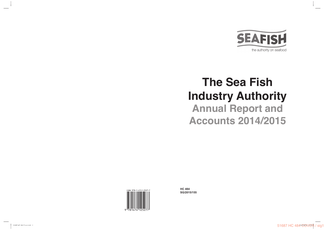# **The Sea Fish Industry Authority Annual Report and Accounts 2013/20144 2014/2015**

**HC774 HC 484 SG/2014/242 SG/2015/155**





 $51687\ \mathrm{HC}$   $484\ \mathrm{COVER}$  /  $\mathrm{sig}1$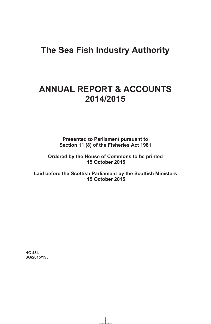# **The Sea Fish Industry Authority**

# **ANNUAL REPORT & ACCOUNTS 2014/2015**

**Presented to Parliament pursuant to Section 11 (8) of the Fisheries Act 1981** 

**Ordered by the House of Commons to be printed 15 October 2015** 

**Laid before the Scottish Parliament by the Scottish Ministers 15 October 2015** 

**HC 484 SG/2015/155**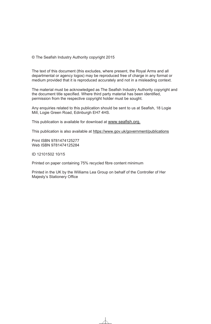© The Seafish Industry Authority copyright 2015

The text of this document (this excludes, where present, the Royal Arms and all departmental or agency logos) may be reproduced free of charge in any format or medium provided that it is reproduced accurately and not in a misleading context.

The material must be acknowledged as The Seafish Industry Authority copyright and the document title specified. Where third party material has been identified, permission from the respective copyright holder must be sought.

Any enquiries related to this publication should be sent to us at Seafish, 18 Logie Mill, Logie Green Road, Edinburgh EH7 4HS.

This publication is available for download at www.seafish.org.

This publication is also available at https://www.gov.uk/government/publications

Print ISBN 9781474125277 Web ISBN 9781474125284

ID 12101502 10/15

Printed on paper containing 75% recycled fibre content minimum

Printed in the UK by the Williams Lea Group on behalf of the Controller of Her Majesty's Stationery Office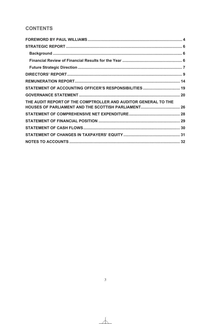# **CONTENTS**

| STATEMENT OF ACCOUNTING OFFICER'S RESPONSIBILITIES  19 |
|--------------------------------------------------------|
|                                                        |
|                                                        |
|                                                        |
|                                                        |
|                                                        |
|                                                        |
|                                                        |
|                                                        |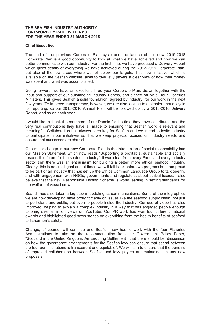#### **THE SEA FISH INDUSTRY AUTHORITY FOREWORD BY PAUL WILLIAMS FOR THE YEAR ENDED 31 MARCH 2015**

#### **Chief Executive**

The end of the previous Corporate Plan cycle and the launch of our new 2015-2018 Corporate Plan is a good opportunity to look at what we have achieved and how we can better communicate with our industry. For the first time, we have produced a Delivery Report which gives details of everything we have achieved during the 2012-2015 Corporate Plan, but also of the few areas where we fell below our targets. This new initiative, which is available on the Seafish website, aims to give levy payers a clear view of how their money was spent and what was accomplished.

Going forward, we have an excellent three year Corporate Plan, drawn together with the input and support of our outstanding Industry Panels, and signed off by all four Fisheries Ministers. This gives Seafish a solid foundation, agreed by industry, for our work in the next few years. To improve transparency, however, we are also looking to a simpler annual cycle for reporting, so our 2015-2016 Annual Plan will be followed up by a 2015-2016 Delivery Report, and so on each year.

I would like to thank the members of our Panels for the time they have contributed and the very real contributions they have all made to ensuring that Seafish work is relevant and meaningful. Collaboration has always been key for Seafish and we intend to invite industry to participate in our initiatives so that we keep projects focused on industry needs and ensure that successes are shared.

One major change in our new Corporate Plan is the introduction of social responsibility into our Mission Statement, which now reads "Supporting a profitable, sustainable and socially responsible future for the seafood industry". It was clear from every Panel and every industry sector that there was an enthusiasm for building a better, more ethical seafood industry. Clearly, this is no small goal and at times we will fall back before we progress but I am proud to be part of an industry that has set up the Ethics Common Language Group to talk openly, and with engagement with NGOs, governments and regulators, about ethical issues. I also believe that the new Responsible Fishing Scheme is world leading in setting standards for the welfare of vessel crew.

Seafish has also taken a big step in updating its communications. Some of the infographics we are now developing have brought clarity on issues like the seafood supply chain, not just to politicians and public, but even to people inside the industry. Our use of video has also improved, helping to explain a complex industry in a way that has engaged people enough to bring over a million views on YouTube. Our PR work has won four different national awards and highlighted good news stories on everything from the health benefits of seafood to fishermen's safety.

Change, of course, will continue and Seafish now has to work with the four Fisheries Administrations to take on the recommendation from the Government Policy Paper, "Scotland in the United Kingdom: An Enduring Settlement", that there should be "discussion on how the governance arrangements for the Seafish levy can ensure that spend between the four administrations is transparent and equitable". We will aim to ensure that the benefits of improved collaboration between Seafish and levy payers are maintained in any new proposals.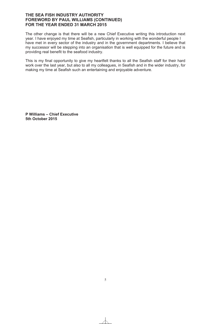# **THE SEA FISH INDUSTRY AUTHORITY FOREWORD BY PAUL WILLIAMS (CONTINUED) FOR THE YEAR ENDED 31 MARCH 2015**

The other change is that there will be a new Chief Executive writing this introduction next year. I have enjoyed my time at Seafish, particularly in working with the wonderful people I have met in every sector of the industry and in the government departments. I believe that my successor will be stepping into an organisation that is well equipped for the future and is providing real benefit to the seafood industry.

This is my final opportunity to give my heartfelt thanks to all the Seafish staff for their hard work over the last year, but also to all my colleagues, in Seafish and in the wider industry, for making my time at Seafish such an entertaining and enjoyable adventure.

**P Williams – Chief Executive 5th October 2015**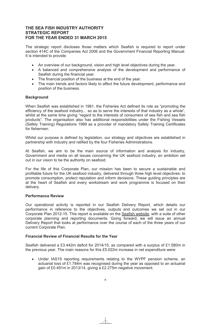# **THE SEA FISH INDUSTRY AUTHORITY STRATEGIC REPORT FOR THE YEAR ENDED 31 MARCH 2015**

The strategic report discloses those matters which Seafish is required to report under section 414C of the Companies Act 2006 and the Government Financial Reporting Manual. It is intended to provide:

- An overview of our background, vision and high level objectives during the year.
- A balanced and comprehensive analysis of the development and performance of Seafish during the financial year.
- The financial position of the business at the end of the year.
- The main trends and factors likely to affect the future development, performance and position of the business.

# **Background**

When Seafish was established in 1981, the Fisheries Act defined its role as "promoting the efficiency of the seafood industry... so as to serve the interests of that industry as a whole", whilst at the same time giving "regard to the interests of consumers of sea fish and sea fish products". The organisation also has additional responsibilities under the Fishing Vessels (Safety Training) Regulations 1989 as a provider of mandatory Safety Training Certificates for fishermen.

Whilst our purpose is defined by legislation, our strategy and objectives are established in partnership with industry and ratified by the four Fisheries Administrations.

At Seafish, we aim to be the main source of information and analysis for industry, Government and media on all issues concerning the UK seafood industry; an ambition set out in our vision to be the authority on seafood.

For the life of this Corporate Plan, our mission has been to secure a sustainable and profitable future for the UK seafood industry, delivered through three high level objectives: to promote consumption, protect reputation and inform decisions. These guiding principles are at the heart of Seafish and every workstream and work programme is focused on their delivery.

# **Performance Review**

Our operational activity is reported in our Seafish Delivery Report, which details our performance in reference to the objectives, outputs and outcomes we set out in our Corporate Plan 2012-15. This report is available on the Seafish website, with a suite of other corporate planning and reporting documents. Going forward, we will issue an annual Delivery Report that looks at performance over the course of each of the three years of our current Corporate Plan.

# **Financial Review of Financial Results for the Year**

Seafish delivered a £3.442m deficit for 2014/15, as compared with a surplus of £1.580m in the previous year. The main reasons for this £5.022m increase in net expenditure were:

• Under IAS19 reporting requirements relating to the WYPF pension scheme, an actuarial loss of £1.784m was recognised during the year as opposed to an actuarial gain of £0.491m in 2013/14, giving a £2.275m negative movement.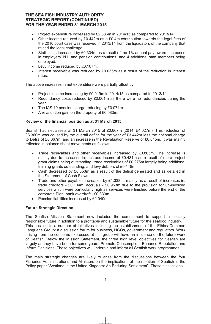- Project expenditure increased by £2.886m in 2014/15 as compared to 2013/14.
- Other income reduced by £0.442m as a £0.4m contribution towards the legal fees of the 2010 court case was received in 2013/14 from the liquidators of the company that raised the legal challenge.
- Staff costs increased by £0.334m as a result of the 1% annual pay award, increases in employers' N.I. and pension contributions, and 4 additional staff members being employed.
- Levy income reduced by £0.107m.
- Interest receivable was reduced by £0.055m as a result of the reduction in interest rates.

The above increases in net expenditure were partially offset by:

- Project income increasing by £0.919m in 2014/15 as compared to 2013/14.
- Redundancy costs reduced by £0.061m as there were no redundancies during the year.
- The IAS 19 pension charge reducing by £0.071m.
- A revaluation gain on the property of £0.083m.

# **Review of the financial position as at 31 March 2015**

Seafish had net assets at 31 March 2015 of £0.667m (2014: £4.027m). This reduction of £3.360m was caused by the overall deficit for the year of £3.442m less the notional charge to Defra of £0.067m, and an increase in the Revaluation Reserve of £0.015m. It was mainly reflected in balance sheet movements as follows:

- Trade receivables and other receivables increased by £0.865m. The increase is mainly due to increases in; accrued income of £0.431m as a result of more project grant claims being outstanding, trade receivables of £0.275m largely being additional training grants outstanding, and levy debtors of £0.118m.
- Cash decreased by £0.853m as a result of the deficit generated and as detailed in the Statement of Cash Flows.
- Trade and other payables increased by £1.338m, mainly as a result of increases in: trade creditors - £0.104m: accruals - £0.953m due to the provision for un-invoiced services which were particularly high as services were finished before the end of the corporate Plan: bank overdraft - £0.333m.
- Pension liabilities increased by £2.040m.

# **Future Strategic Direction**

The Seafish Mission Statement now includes the commitment to support a socially responsible future in addition to a profitable and sustainable future for the seafood industry. This has led to a number of initiatives including the establishment of the Ethics Common Language Group: a discussion forum for business, NGOs, government and regulators. Work arising from the concerns expressed at this group will have an influence on the future work of Seafish. Below the Mission Statement, the three high level objectives for Seafish are largely as they have been for some years: Promote Consumption, Enhance Reputation and Inform Decisions. These objectives will underpin and inform all Seafish work programmes.

The main strategic changes are likely to arise from the discussions between the four Fisheries Administrations and Ministers on the implications of the mention of Seafish in the Policy paper "Scotland in the United Kingdom: An Enduring Settlement". These discussions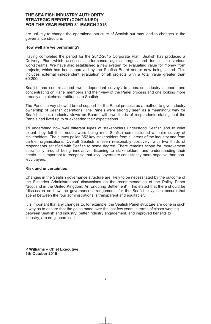are unlikely to change the operational structure of Seafish but may lead to changes in the governance structure.

#### **How well are we performing?**

Having completed the period for the 2012-2015 Corporate Plan, Seafish has produced a Delivery Plan which assesses performance against targets and for all the various workstreams. We have also established a new system for evaluating value for money from projects, which has been approved by the Seafish Board and is now being tested. This includes external independent evaluation of all projects with a total value greater than £0.200m.

Seafish has commissioned two independent surveys to appraise industry support, one concentrating on Panel members and their view of the Panel process and one looking more broadly at stakeholder attitudes to Seafish.

The Panel survey showed broad support for the Panel process as a method to give industry ownership of Seafish operations. The Panels were strongly seen as a meaningful way for Seafish to take industry views on Board, with two thirds of respondents stating that the Panels had lived up to or exceeded their expectations.

To understand how well different types of stakeholders understood Seafish and to what extent they felt their needs were being met, Seafish commissioned a major survey of stakeholders. The survey polled 352 key stakeholders from all areas of the industry and from partner organisations. Overall Seafish is seen reasonably positively, with two thirds of respondents satisfied with Seafish to some degree. There remains scope for improvement specifically around being innovative, listening to stakeholders, and understanding their needs. It is important to recognise that levy payers are consistently more negative than nonlevy payers.

#### **Risk and uncertainties**

Changes in the Seafish governance structure are likely to be necessitated by the outcome of the Fisheries Administrations' discussions on the recommendation of the Policy Paper "Scotland in the United Kingdom: An Enduring Settlement". This stated that there should be "discussion on how the governance arrangements for the Seafish levy can ensure that spend between the four administrations is transparent and equitable".

It is important that any changes to, for example, the Seafish Panel structure are done in such a way as to ensure that the gains made over the last few years in terms of closer working between Seafish and industry, better industry engagement, and improved benefits to industry, are not jeopardised.

**P Williams – Chief Executive 5th October 2015**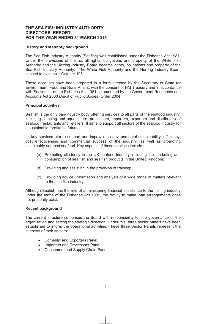# **THE SEA FISH INDUSTRY AUTHORITY DIRECTORS' REPORT FOR THE YEAR ENDED 31 MARCH 2015**

#### **History and statutory background**

The Sea Fish Industry Authority (Seafish) was established under the Fisheries Act 1981. Under the provisions of the act all rights, obligations and property of the White Fish Authority and the Herring Industry Board became rights, obligations and property of the Sea Fish Industry Authority. The White Fish Authority and the Herring Industry Board ceased to exist on 1 October 1981.

These accounts have been prepared in a form directed by the Secretary of State for Environment, Food and Rural Affairs, with the consent of HM Treasury and in accordance with Section 11 of the Fisheries Act 1981 as amended by the Government Resources and Accounts Act 2000 (Audit of Public Bodies) Order 2004.

#### **Principal activities**

Seafish is the only pan-industry body offering services to all parts of the seafood industry, including catching and aquaculture, processors, importers, exporters and distributors of seafood, restaurants and retailers. It aims to support all sectors of the seafood industry for a sustainable, profitable future.

Its key services aim to support and improve the environmental sustainability, efficiency, cost effectiveness and commercial success of the industry, as well as promoting sustainably-sourced seafood. Key aspects of these services include:

- (a) Promoting efficiency in the UK seafood industry including the marketing and consumption of sea fish and sea fish products in the United Kingdom;
- (b) Providing and assisting in the provision of training;
- (c) Providing advice, information and analysis of a wide range of matters relevant to the sea fish industry.

Although Seafish has the role of administering financial assistance to the fishing industry under the terms of the Fisheries Act 1981, the facility to make loan arrangements does not presently exist.

#### **Recent background**

The current structure comprises the Board with responsibility for the governance of the organisation and setting the strategic direction. Under this, three sector panels have been established to inform the operational activities. These three Sector Panels represent the interests of their sectors:

- Domestic and Exporters Panel
- Importers and Processors Panel
- Consumers and Supply Chain Panel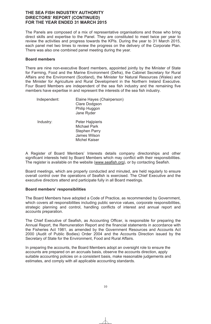The Panels are composed of a mix of representative organisations and those who bring direct skills and expertise to the Panel. They are constituted to meet twice per year to review the activities and progress towards the KPIs. During the year to 31 March 2015, each panel met two times to review the progress on the delivery of the Corporate Plan. There was also one combined panel meeting during the year.

#### **Board members**

There are nine non-executive Board members, appointed jointly by the Minister of State for Farming, Food and the Marine Environment (Defra), the Cabinet Secretary for Rural Affairs and the Environment (Scotland), the Minister for Natural Resources (Wales) and the Minister for Agriculture and Rural Development in the Northern Ireland Executive. Four Board Members are independent of the sea fish industry and the remaining five members have expertise in and represent the interests of the sea fish industry.

| Independent: | Elaine Hayes (Chairperson)<br><b>Clare Dodgson</b><br>Philip Huggon<br>Jane Ryder                              |
|--------------|----------------------------------------------------------------------------------------------------------------|
| Industry:    | Peter Hajipieris<br><b>Michael Park</b><br><b>Stephen Parry</b><br><b>James Wilson</b><br><b>Michel Kaiser</b> |

A Register of Board Members' Interests details company directorships and other significant interests held by Board Members which may conflict with their responsibilities. The register is available on the website (www.seafish.org), or by contacting Seafish.

Board meetings, which are properly conducted and minuted, are held regularly to ensure overall control over the operations of Seafish is exercised. The Chief Executive and the executive directors attend and participate fully in all Board meetings.

# **Board members' responsibilities**

The Board Members have adopted a Code of Practice, as recommended by Government, which covers all responsibilities including public service values, corporate responsibilities, strategic planning and control, handling conflicts of interest and annual report and accounts preparation.

The Chief Executive of Seafish, as Accounting Officer, is responsible for preparing the Annual Report, the Remuneration Report and the financial statements in accordance with the Fisheries Act 1981, as amended by the Government Resources and Accounts Act 2000 (Audit of Public Bodies) Order 2004 and the Accounts Direction issued by the Secretary of State for the Environment, Food and Rural Affairs.

In preparing the accounts, the Board Members adopt an oversight role to ensure the accounts are prepared on an accruals basis, observe the accounts direction, apply suitable accounting policies on a consistent basis, make reasonable judgements and estimates, and comply with all applicable accounting standards.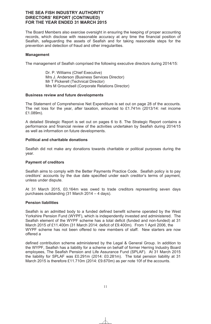The Board Members also exercise oversight in ensuring the keeping of proper accounting records, which disclose with reasonable accuracy at any time the financial position of Seafish, safeguarding the assets of Seafish and for taking reasonable steps for the prevention and detection of fraud and other irregularities.

#### **Management**

The management of Seafish comprised the following executive directors during 2014/15:

Dr. P. Williams (Chief Executive) Mrs J. Anderson (Business Services Director) Mr T Pickerell (Technical Director) Mrs M Groundsell (Corporate Relations Director)

#### **Business review and future developments**

The Statement of Comprehensive Net Expenditure is set out on page 28 of the accounts. The net loss for the year, after taxation, amounted to £1.741m (2013/14: net income £1.089m).

A detailed Strategic Report is set out on pages 6 to 8. The Strategic Report contains a performance and financial review of the activities undertaken by Seafish during 2014/15 as well as information on future developments.

#### **Political and charitable donations**

Seafish did not make any donations towards charitable or political purposes during the year.

# **Payment of creditors**

Seafish aims to comply with the Better Payments Practice Code. Seafish policy is to pay creditors' accounts by the due date specified under each creditor's terms of payment, unless under dispute.

At 31 March 2015, £0.164m was owed to trade creditors representing seven days purchases outstanding (31 March 2014 – 4 days).

#### **Pension liabilities**

Seafish is an admitted body to a funded defined benefit scheme operated by the West Yorkshire Pension Fund (WYPF), which is independently invested and administered. The Seafish element of the WYPF scheme has a total deficit (funded and non-funded) at 31 March 2015 of £11.400m (31 March 2014: deficit of £9.400m). From 1 April 2006, the WYPF scheme has not been offered to new members of staff. New starters are now offered a

defined contribution scheme administered by the Legal & General Group. In addition to the WYPF, Seafish has a liability for a scheme on behalf of former Herring Industry Board employees, The Seafish Pension and Life Assurance Fund (SPLAF). At 31 March 2015 the liability for SPLAF was £0.291m (2014: £0.281m). The total pension liability at 31 March 2015 is therefore £11.710m (2014: £9.670m) as per note 10f of the accounts.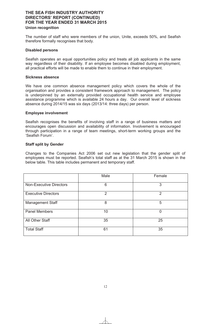# **THE SEA FISH INDUSTRY AUTHORITY DIRECTORS' REPORT (CONTINUED) FOR THE YEAR ENDED 31 MARCH 2015 Union recognition**

The number of staff who were members of the union, Unite, exceeds 50%, and Seafish therefore formally recognises that body.

#### **Disabled persons**

Seafish operates an equal opportunities policy and treats all job applicants in the same way regardless of their disability. If an employee becomes disabled during employment, all practical efforts will be made to enable them to continue in their employment.

#### **Sickness absence**

We have one common absence management policy which covers the whole of the organisation and provides a consistent framework approach to management. The policy is underpinned by an externally provided occupational health service and employee assistance programme which is available 24 hours a day. Our overall level of sickness absence during 2014/15 was six days (2013/14: three days) per person.

#### **Employee involvement**

Seafish recognises the benefits of involving staff in a range of business matters and encourages open discussion and availability of information. Involvement is encouraged through participation in a range of team meetings, short-term working groups and the 'Seafish Forum'.

#### **Staff split by Gender**

Changes to the Companies Act 2006 set out new legislation that the gender split of employees must be reported. Seafish's total staff as at the 31 March 2015 is shown in the below table. This table includes permanent and temporary staff.

|                                | Male          | Female        |
|--------------------------------|---------------|---------------|
| <b>Non-Executive Directors</b> | 6             | 3             |
| <b>Executive Directors</b>     | $\mathcal{P}$ | $\mathcal{P}$ |
| <b>Management Staff</b>        | 8             | 5             |
| <b>Panel Members</b>           | 10            | 0             |
| All Other Staff                | 35            | 25            |
| <b>Total Staff</b>             | 61            | 35            |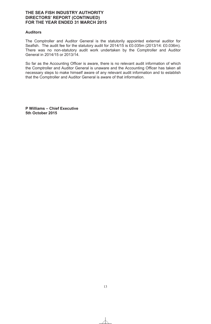# **Auditors**

The Comptroller and Auditor General is the statutorily appointed external auditor for Seafish. The audit fee for the statutory audit for 2014/15 is £0.035m (2013/14: £0.036m). There was no non-statutory audit work undertaken by the Comptroller and Auditor General in 2014/15 or 2013/14.

So far as the Accounting Officer is aware, there is no relevant audit information of which the Comptroller and Auditor General is unaware and the Accounting Officer has taken all necessary steps to make himself aware of any relevant audit information and to establish that the Comptroller and Auditor General is aware of that information.

**P Williams – Chief Executive 5th October 2015**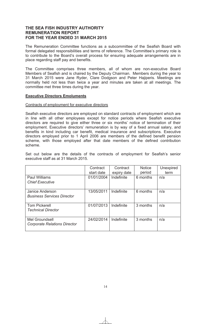The Remuneration Committee functions as a subcommittee of the Seafish Board with formal delegated responsibilities and terms of reference. The Committee's primary role is to contribute to the Board's overall process for ensuring adequate arrangements are in place regarding staff pay and benefits.

The Committee comprises three members, all of whom are non-executive Board Members of Seafish and is chaired by the Deputy Chairman. Members during the year to 31 March 2015 were Jane Ryder, Clare Dodgson and Peter Hajiperis. Meetings are normally held not less than twice a year and minutes are taken at all meetings. The committee met three times during the year.

#### **Executive Directors Emoluments**

#### Contracts of employment for executive directors

Seafish executive directors are employed on standard contracts of employment which are in line with all other employees except for notice periods where Seafish executive directors are required to give either three or six months' notice of termination of their employment. Executive directors' remuneration is by way of a fixed annual salary, and benefits in kind including car benefit, medical insurance and subscriptions. Executive directors employed prior to 1 April 2006 are members of the defined benefit pension scheme, with those employed after that date members of the defined contribution scheme.

Set out below are the details of the contracts of employment for Seafish's senior executive staff as at 31 March 2015.

|                                     | Contract   | Contract    | <b>Notice</b> | Unexpired |
|-------------------------------------|------------|-------------|---------------|-----------|
|                                     | start date | expiry date | period        | term      |
| <b>Paul Williams</b>                | 01/01/2004 | Indefinite  | 6 months      | n/a       |
| <b>Chief Executive</b>              |            |             |               |           |
|                                     |            |             |               |           |
| Janice Anderson                     | 13/05/2011 | Indefinite  | 6 months      | n/a       |
| <b>Business Services Director</b>   |            |             |               |           |
|                                     |            |             |               |           |
| <b>Tom Pickerell</b>                | 01/07/2013 | Indefinite  | 3 months      | n/a       |
| <b>Technical Director</b>           |            |             |               |           |
|                                     |            |             |               |           |
| Mel Groundsell                      | 24/02/2014 | Indefinite  | 3 months      | n/a       |
| <b>Corporate Relations Director</b> |            |             |               |           |
|                                     |            |             |               |           |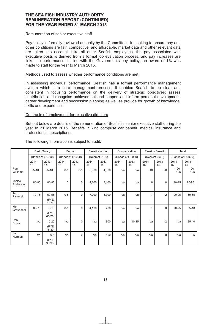#### Remuneration of senior executive staff

Pay policy is formally reviewed annually by the Committee. In seeking to ensure pay and other conditions are fair, competitive, and affordable, market data and other relevant data are taken into account. Like all other Seafish employees, the pay associated with executive posts is derived from a formal job evaluation process, and pay increases are linked to performance. In line with the Governments pay policy, an award of 1% was made to staff for the year to March 2015.

#### Methods used to assess whether performance conditions are met

In assessing individual performance, Seafish has a formal performance management system which is a core management process. It enables Seafish to be clear and consistent in focusing performance on the delivery of strategic objectives; assess contribution and recognise achievement and support and inform personal development, career development and succession planning as well as provide for growth of knowledge, skills and experience.

#### Contracts of employment for executive directors

Set out below are details of the remuneration of Seafish's senior executive staff during the year to 31 March 2015. Benefits in kind comprise car benefit, medical insurance and professional subscriptions.

|                     |                   | <b>Basic Salary</b>            |                   | <b>Bonus</b> | Benefits in Kind |                |                   | Compensation |                                     | <b>Pension Benefit</b> |                | Total          |
|---------------------|-------------------|--------------------------------|-------------------|--------------|------------------|----------------|-------------------|--------------|-------------------------------------|------------------------|----------------|----------------|
|                     | (Bands of £5,000) |                                | (Bands of £5,000) |              | (Nearest £100)   |                | (Bands of £5,000) |              | (Bands of £5,000)<br>(Nearest £000) |                        |                |                |
|                     | $2014 -$<br>15    | 2013-<br>14                    | $2014 -$<br>15    | 2013-<br>14  | $2014 -$<br>15   | $2013 -$<br>14 | $2014 -$<br>15    | 2013-<br>14  | $2014 -$<br>15                      | 2013-<br>14            | $2014 -$<br>15 | 2013-<br>14    |
| Paul<br>Williams    | 95-100            | 95-100                         | $0-5$             | $0-5$        | 5,900            | 4,000          | n/a               | n/a          | 16                                  | 20                     | $120 -$<br>125 | $120 -$<br>125 |
| Janice<br>Anderson  | 80-85             | 80-85                          | $\mathbf 0$       | 0            | 4,200            | 3,400          | n/a               | n/a          | 8                                   | 8                      | 90-95          | 90-95          |
| Tom<br>Pickerell    | 70-75             | 50-55<br>(FYE:<br>$70-75$      | $0 - 5$           | 0            | 7,200            | 5,300          | n/a               | n/a          | $\overline{7}$                      | 2                      | 90-95          | 60-65          |
| Mel<br>Groundsell   | 65-70             | $5 - 10$<br>(FYE:<br>$65 - 70$ | $0-5$             | 0            | 4,100            | 400            | n/a               | n/a          | 1                                   | $\mathbf 0$            | 70-75          | $5 - 10$       |
| Rob<br><b>Bruce</b> | n/a               | 15-20<br>(FYE:<br>$75-80$      | n/a               | 0            | n/a              | 900            | n/a               | $10 - 15$    | n/a                                 | 2                      | n/a            | $35 - 40$      |
| Jon<br>Harman       | n/a               | $0-5$<br>(FYE:<br>$90-95$      | n/a               | 0            | n/a              | 100            | n/a               | n/a          | n/a                                 | $\pmb{0}$              | n/a            | $0-5$          |

#### The following information is subject to audit: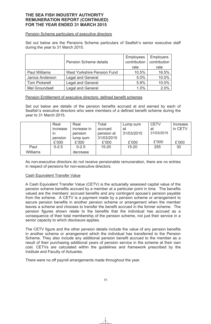# Pension Scheme particulars of executive directors

Set out below are the Pensions Scheme particulars of Seafish's senior executive staff during the year to 31 March 2015.

|                      |                                    | <b>Employees</b> | <b>Employers</b> |
|----------------------|------------------------------------|------------------|------------------|
|                      | <b>Pension Scheme details</b>      | contribution     | contribution     |
|                      |                                    | rate             | rate             |
| Paul Williams        | <b>West Yorkshire Pension Fund</b> | 10.5%            | 16.5%            |
| Janice Anderson      | <b>Legal and General</b>           | 5.0%             | 10.0%            |
| <b>Tom Pickerell</b> | <b>Legal and General</b>           | 5.8%             | 10.0%            |
| Mel Groundsell       | <b>Legal and General</b>           | 1.0%             | 2.0%             |

#### Pension Entitlement of executive directors: defined benefit schemes

Set out below are details of the pension benefits accrued at and earned by each of Seafish's executive directors who were members of a defined benefit scheme during the year to 31 March 2015.

|                 | Real      | Real        | Total      | Lump sum   | <b>CETV</b> | Increase |
|-----------------|-----------|-------------|------------|------------|-------------|----------|
|                 | increase  | increase in | accrued    | at         | at          | in CETV  |
|                 | ın        | pension     | pension at | 31/03/2015 | 31/03/2015  |          |
|                 | pension   | lump sum    | 31/03/2015 |            |             |          |
|                 | £'000     | £'000       | £'000      | £'000      | £'000       | £'000    |
| Paul            | $0 - 2.5$ | $0 - 2.5$   | $15 - 20$  | $15 - 20$  | 255         | 30       |
| <b>Williams</b> |           | decrease    |            |            |             |          |

As non-executive directors do not receive pensionable remuneration, there are no entries in respect of pensions for non-executive directors.

# Cash Equivalent Transfer Value

A Cash Equivalent Transfer Value (CETV) is the actuarially assessed capital value of the pension scheme benefits accrued by a member at a particular point in time. The benefits valued are the members' accrued benefits and any contingent spouse's pension payable from the scheme. A CETV is a payment made by a pension scheme or arrangement to secure pension benefits in another pension scheme or arrangement when the member leaves a scheme and chooses to transfer the benefit accrued in the former scheme. The pension figures shown relate to the benefits that the individual has accrued as a consequence of their total membership of the pension scheme, not just their service in a senior capacity to which disclosure applies.

The CETV figure and the other pension details include the value of any pension benefits in another scheme or arrangement which the individual has transferred to the Pension Scheme. They also include any additional pension benefit accrued to the member as a result of their purchasing additional years of pension service in the scheme at their own cost. CETVs are calculated within the guidelines and framework prescribed by the Institute and Faculty of Actuaries.

There were no off payroll arrangements made throughout the year.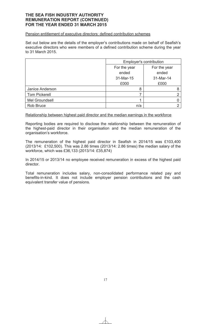#### Pension entitlement of executive directors: defined contribution schemes

Set out below are the details of the employer's contributions made on behalf of Seafish's executive directors who were members of a defined contribution scheme during the year to 31 March 2015.

|                      | Employer's contribution                  |              |  |  |  |
|----------------------|------------------------------------------|--------------|--|--|--|
|                      | For the year                             | For the year |  |  |  |
|                      | ended<br>ended<br>31-Mar-15<br>31-Mar-14 |              |  |  |  |
|                      |                                          |              |  |  |  |
|                      | £000                                     | £000         |  |  |  |
| Janice Anderson      | 8                                        |              |  |  |  |
| <b>Tom Pickerell</b> |                                          |              |  |  |  |
| Mel Groundsell       |                                          |              |  |  |  |
| Rob Bruce            | n/a                                      | ⌒            |  |  |  |

#### Relationship between highest paid director and the median earnings in the workforce

Reporting bodies are required to disclose the relationship between the remuneration of the highest-paid director in their organisation and the median remuneration of the organisation's workforce.

The remuneration of the highest paid director in Seafish in 2014/15 was £103,400 (2013/14: £102,500). This was 2.86 times (2013/14: 2.86 times) the median salary of the workforce, which was £36,133 (2013/14: £35,874)

In 2014/15 or 2013/14 no employee received remuneration in excess of the highest paid director.

Total remuneration includes salary, non-consolidated performance related pay and benefits-in-kind. It does not include employer pension contributions and the cash equivalent transfer value of pensions.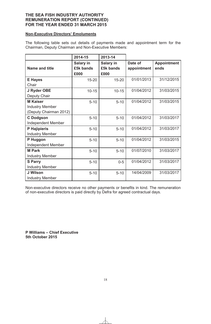# **Non-Executive Directors' Emoluments**

The following table sets out details of payments made and appointment term for the Chairman, Deputy Chairman and Non-Executive Members:

|                           | 2014-15   | 2013-14   |             |                    |
|---------------------------|-----------|-----------|-------------|--------------------|
|                           | Salary in | Salary in | Date of     | <b>Appointment</b> |
| <b>Name and title</b>     | £5k bands | £5k bands | appointment | ends               |
|                           | £000      | £000      |             |                    |
| <b>E</b> Hayes            | $15 - 20$ | $15 - 20$ | 01/01/2013  | 31/12/2015         |
| Chair                     |           |           |             |                    |
| J Ryder OBE               | $10 - 15$ | $10 - 15$ | 01/04/2012  | 31/03/2015         |
| Deputy Chair              |           |           |             |                    |
| <b>M</b> Kaiser           | $5 - 10$  | $5 - 10$  | 01/04/2012  | 31/03/2015         |
| <b>Industry Member</b>    |           |           |             |                    |
| (Deputy Chairman 2012)    |           |           |             |                    |
| <b>C</b> Dodgson          | $5 - 10$  | $5 - 10$  | 01/04/2012  | 31/03/2017         |
| <b>Independent Member</b> |           |           |             |                    |
| P Hajipieris              | $5 - 10$  | $5 - 10$  | 01/04/2012  | 31/03/2017         |
| <b>Industry Member</b>    |           |           |             |                    |
| P Huggon                  | $5 - 10$  | $5 - 10$  | 01/04/2012  | 31/03/2015         |
| Independent Member        |           |           |             |                    |
| <b>M</b> Park             | $5 - 10$  | $5 - 10$  | 01/07/2010  | 31/03/2017         |
| <b>Industry Member</b>    |           |           |             |                    |
| <b>S Parry</b>            | $5 - 10$  | $0 - 5$   | 01/04/2012  | 31/03/2017         |
| <b>Industry Member</b>    |           |           |             |                    |
| J Wilson                  | $5 - 10$  | $5 - 10$  | 14/04/2009  | 31/03/2017         |
| <b>Industry Member</b>    |           |           |             |                    |

Non-executive directors receive no other payments or benefits in kind. The remuneration of non-executive directors is paid directly by Defra for agreed contractual days.

**P Williams – Chief Executive 5th October 2015**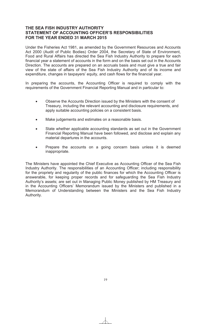# **THE SEA FISH INDUSTRY AUTHORITY STATEMENT OF ACCOUNTING OFFICER'S RESPONSIBILITIES FOR THE YEAR ENDED 31 MARCH 2015**

Under the Fisheries Act 1981, as amended by the Government Resources and Accounts Act 2000 (Audit of Public Bodies) Order 2004, the Secretary of State of Environment, Food and Rural Affairs has directed the Sea Fish Industry Authority to prepare for each financial year a statement of accounts in the form and on the basis set out in the Accounts Direction. The accounts are prepared on an accruals basis and must give a true and fair view of the state of affairs of the Sea Fish Industry Authority and of its income and expenditure, changes in taxpayers' equity, and cash flows for the financial year.

In preparing the accounts, the Accounting Officer is required to comply with the requirements of the Government Financial Reporting Manual and in particular to:

- Observe the Accounts Direction issued by the Ministers with the consent of Treasury, including the relevant accounting and disclosure requirements, and apply suitable accounting policies on a consistent basis.
- Make judgements and estimates on a reasonable basis.
- State whether applicable accounting standards as set out in the Government Financial Reporting Manual have been followed, and disclose and explain any material departures in the accounts.
- Prepare the accounts on a going concern basis unless it is deemed inappropriate.

The Ministers have appointed the Chief Executive as Accounting Officer of the Sea Fish Industry Authority. The responsibilities of an Accounting Officer; including responsibility for the propriety and regularity of the public finances for which the Accounting Officer is answerable, for keeping proper records and for safeguarding the Sea Fish Industry Authority's assets; are set out in Managing Public Money published by HM Treasury and in the Accounting Officers' Memorandum issued by the Ministers and published in a Memorandum of Understanding between the Ministers and the Sea Fish Industry Authority.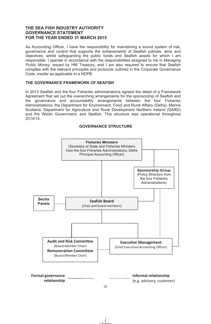As Accounting Officer, I have the responsibility for maintaining a sound system of risk, governance and control that supports the achievements of Seafish policies, aims and objectives, whilst safeguarding the public funds and Seafish assets for which I am responsible. I operate in accordance with the responsibilities assigned to me in *Managing Public Money*, issued by HM Treasury, and I am also required to ensure that Seafish complies with the relevant principles and protocols outlined in the Corporate Governance Code, insofar as applicable to a NDPB.

# **THE GOVERNANCE FRAMEWORK OF SEAFISH**

In 2013 Seafish and the four Fisheries administrations agreed the detail of a Framework Agreement that set out the overarching arrangements for the sponsorship of Seafish and the governance and accountability arrangements between the four Fisheries Administrations; the Department for Environment, Food and Rural Affairs (Defra), Marine Scotland, Department for Agriculture and Rural Development Northern Ireland (DARD) and the Welsh Government; and Seafish. This structure was operational throughout 2014/15.



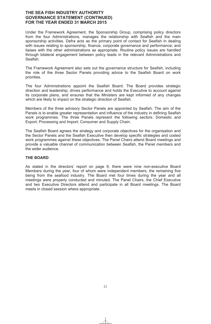Under the Framework Agreement, the Sponsorship Group, comprising policy directors from the four Administrations, manages the relationship with Seafish and the main sponsorship activities. Defra acts as the primary point of contact for Seafish in dealing with issues relating to sponsorship, finance, corporate governance and performance; and liaises with the other administrations as appropriate. Routine policy issues are handled through bilateral engagement between policy leads in the relevant Administrations and Seafish.

The Framework Agreement also sets out the governance structure for Seafish, including the role of the three Sector Panels providing advice to the Seafish Board on work priorities.

The four Administrations appoint the Seafish Board. The Board provides strategic direction and leadership; drives performance and holds the Executive to account against its corporate plans, and ensures that the Ministers are kept informed of any changes which are likely to impact on the strategic direction of Seafish.

Members of the three advisory Sector Panels are appointed by Seafish. The aim of the Panels is to enable greater representation and influence of the industry in defining Seafish work programmes. The three Panels represent the following sectors: Domestic and Export; Processing and Import; Consumer and Supply Chain.

The Seafish Board agrees the strategy and corporate objectives for the organisation and the Sector Panels and the Seafish Executive then develop specific strategies and costed work programmes against these objectives. The Panel Chairs attend Board meetings and provide a valuable channel of communication between Seafish, the Panel members and the wider audience.

# **THE BOARD**

As stated in the directors' report on page 9, there were nine non-executive Board Members during the year, four of whom were independent members, the remaining five being from the seafood industry. The Board met four times during the year and all meetings were properly conducted and minuted. The Panel Chairs, the Chief Executive and two Executive Directors attend and participate in all Board meetings*.* The Board meets in closed session where appropriate.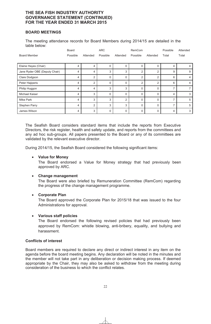# **BOARD MEETINGS**

The meeting attendance records for Board Members during 2014/15 are detailed in the table below:

|                               | Board          |                | <b>ARC</b>  |                | RemCom         |                | Possible | Attended       |
|-------------------------------|----------------|----------------|-------------|----------------|----------------|----------------|----------|----------------|
| <b>Board Member</b>           | Possible       | Attended       | Possible    | Attended       | Possible       | Attended       | Total    | Total          |
|                               |                |                |             |                |                |                |          |                |
| Elaine Hayes (Chair)          | 4              | 4              | 0           | 0              | $\Omega$       | 0              | 4        | $\overline{4}$ |
| Jane Ryder OBE (Deputy Chair) | 4              | 4              | 3           | 3              | $\overline{2}$ | 2              | 9        | 9              |
| Clare Dodgson                 | 4              | $\overline{2}$ | 0           | 0              | $\overline{2}$ | $\overline{2}$ | 6        | $\overline{4}$ |
| Peter Hajiperis               | $\overline{4}$ | $\overline{2}$ | 0           | 0              | $\overline{2}$ | $\overline{2}$ | 6        | $\overline{4}$ |
| Philip Huggon                 | 4              | 4              | 3           | 3              | $\Omega$       | 0              |          | 7              |
| <b>Michael Kaiser</b>         | 4              | 3              | 0           | 0              | $\Omega$       | 0              | 4        | 3              |
| <b>Mike Park</b>              | 4              | 3              | 3           | $\overline{2}$ | $\Omega$       | 0              |          | 5              |
| Stephen Parry                 | 4              | $\overline{2}$ | 3           | 3              | $\Omega$       | 0              |          | 5              |
| James Wilson                  | 4              | 3              | $\mathbf 0$ | 0              | $\Omega$       | 0              | 4        | 3              |

The Seafish Board considers standard items that include the reports from Executive Directors, the risk register, health and safety update, and reports from the committees and any ad hoc sub-groups. All papers presented to the Board or any of its committees are validated by the relevant executive director.

During 2014/15, the Seafish Board considered the following significant items:

# • **Value for Money**

The Board endorsed a Value for Money strategy that had previously been approved by ARC.

# • **Change management**

The Board were also briefed by Remuneration Committee (RemCom) regarding the progress of the change management programme.

#### • **Corporate Plan**

The Board approved the Corporate Plan for 2015/18 that was issued to the four Administrations for approval.

# • **Various staff policies**

The Board endorsed the following revised policies that had previously been approved by RemCom: whistle blowing, anti-bribery, equality, and bullying and harassment.

#### **Conflicts of interest**

Board members are required to declare any direct or indirect interest in any item on the agenda before the board meeting begins. Any declaration will be noted in the minutes and the member will not take part in any deliberation or decision making process. If deemed appropriate by the Chair, they may also be asked to withdraw from the meeting during consideration of the business to which the conflict relates.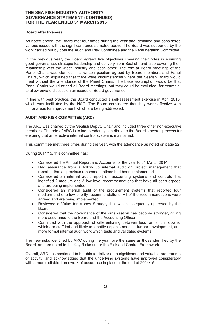# **Board effectiveness**

As noted above, the Board met four times during the year and identified and considered various issues with the significant ones as noted above. The Board was supported by the work carried out by both the Audit and Risk Committee and the Remuneration Committee.

In the previous year, the Board agreed five objectives covering their roles in ensuring good governance, strategic leadership and delivery from Seafish, and also covering their relationship with the wider industry and each other. The role at Board meetings of the Panel Chairs was clarified in a written position agreed by Board members and Panel Chairs, which explained that there were circumstances where the Seafish Board would meet without the attendance of the Panel Chairs. The base assumption would be that Panel Chairs would attend all Board meetings, but they could be excluded, for example, to allow private discussion on issues of Board governance.

In line with best practice, the Board conducted a self-assessment exercise in April 2015, which was facilitated by the NAO. The Board considered that they were effective with minor areas for improvement which are being addressed.

# **AUDIT AND RISK COMMITTEE (ARC)**

The ARC was chaired by the Seafish Deputy Chair and included three other non-executive members. The role of ARC is to independently contribute to the Board's overall process for ensuring that an effective internal control system is maintained.

This committee met three times during the year, with the attendance as noted on page 22.

During 2014/15, this committee has:

- Considered the Annual Report and Accounts for the year to 31 March 2014.
- Had assurance from a follow up internal audit on project management that reported that all previous recommendations had been implemented.
- Considered an internal audit report on accounting systems and controls that identified 2 medium and 3 low level recommendations that have all been agreed and are being implemented.
- Considered an internal audit of the procurement systems that reported four medium and one low priority recommendations. All of the recommendations were agreed and are being implemented.
- Reviewed a Value for Money Strategy that was subsequently approved by the Board.
- Considered that the governance of the organisation has become stronger, giving more assurance to the Board and the Accounting Officer
- Continued with the approach of differentiating between less formal drill downs, which are staff led and likely to identify aspects needing further development, and more formal internal audit work which tests and validates systems.

The new risks identified by ARC during the year, are the same as those identified by the Board, and are noted in the Key Risks under the Risk and Control Framework.

Overall, ARC has continued to be able to deliver on a significant and valuable programme of activity, and acknowledges that the underlying systems have improved considerably with a more reliable framework of assurance in place at the end of 2014/15.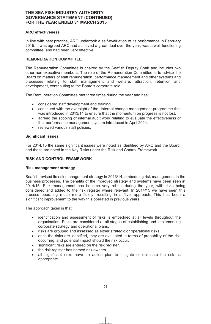# **ARC effectiveness**

In line with best practice, ARC undertook a self-evaluation of its performance in February 2015. It was agreed ARC had achieved a great deal over the year, was a well-functioning committee, and had been very effective.

# **REMUNERATION COMMITTEE**

The Remuneration Committee is chaired by the Seafish Deputy Chair and includes two other non-executive members. The role of the Remuneration Committee is to advise the Board on matters of staff remuneration, performance management and other systems and processes relating to staff management and welfare, attraction, retention and development, contributing to the Board's corporate role.

The Remuneration Committee met three times during the year and has:

- considered staff development and training.
- continued with the oversight of the internal change management programme that was introduced in 2013/14 to ensure that the momentum on progress is not lost.
- agreed the scoping of internal audit work relating to evaluate the effectiveness of the performance management system introduced in April 2014.
- reviewed various staff policies.

# **Significant issues**

For 2014/15 the same significant issues were noted as identified by ARC and the Board, and these are noted in the Key Risks under the Risk and Control Framework.

# **RISK AND CONTROL FRAMEWORK**

# **Risk management strategy**

Seafish revised its risk management strategy in 2013/14, embedding risk management in the business processes. The benefits of the improved strategy and systems have been seen in 2014/15. Risk management has become very robust during the year, with risks being considered and added to the risk register where relevant. In 2014/15 we have seen this process operating much more fluidly, resulting in a 'live' approach. This has been a significant improvement to the way this operated in previous years.

The approach taken is that:

- identification and assessment of risks is embedded at all levels throughout the organisation. Risks are considered at all stages of establishing and implementing corporate strategy and operational plans.
- risks are grouped and assessed as either strategic or operational risks.
- once the risks are identified, they are evaluated in terms of probability of the risk occurring, and potential impact should the risk occur.
- significant risks are entered on the risk register.
- the risk register has named risk owners.
- all significant risks have an action plan to mitigate or eliminate the risk as appropriate.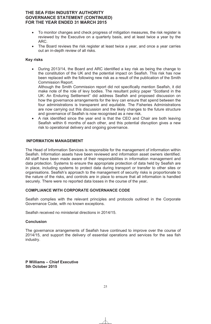- To monitor changes and check progress of mitigation measures, the risk register is reviewed by the Executive on a quarterly basis, and at least twice a year by the ARC.
- The Board reviews the risk register at least twice a year, and once a year carries out an in-depth review of all risks.

# **Key risks**

• During 2013/14, the Board and ARC identified a key risk as being the change to the constitution of the UK and the potential impact on Seafish. This risk has now been replaced with the following new risk as a result of the publication of the Smith Commission Report.

Although the Smith Commission report did not specifically mention Seafish, it did make note of the role of levy bodies. The resultant policy paper "Scotland in the UK: An Enduring Settlement" did address Seafish and proposed discussion on how the governance arrangements for the levy can ensure that spend between the four administrations is transparent and equitable. The Fisheries Administrations are now carrying out this discussion and the likely changes to the future structure and governance of Seafish is now recognised as a new risk.

• A risk identified since the year end is that the CEO and Chair are both leaving Seafish within 6 months of each other, and this potential disruption gives a new risk to operational delivery and ongoing governance.

# **INFORMATION MANAGEMENT**

The Head of Information Services is responsible for the management of information within Seafish. Information assets have been reviewed and information asset owners identified. All staff have been made aware of their responsibilities in information management and data protection. Systems to ensure the appropriate protection of data held by Seafish are in place, including systems to protect data during transport or transfer to other sites or organisations. Seafish's approach to the management of security risks is proportionate to the nature of the risks, and controls are in place to ensure that all information is handled securely. There were no reported data losses in the course of the year**.** 

#### **COMPLIANCE WITH CORPORATE GOVERNANCE CODE**

Seafish complies with the relevant principles and protocols outlined in the Corporate Governance Code, with no known exceptions.

Seafish received no ministerial directions in 2014/15.

#### **Conclusion**

The governance arrangements of Seafish have continued to improve over the course of 2014/15, and support the delivery of essential operations and services for the sea fish industry.

**P Williams – Chief Executive 5th October 2015**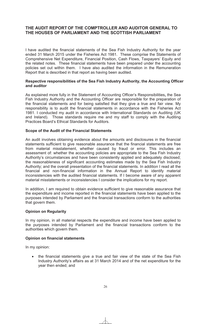# **THE AUDIT REPORT OF THE COMPTROLLER AND AUDITOR GENERAL TO THE HOUSES OF PARLIAMENT AND THE SCOTTISH PARLIAMENT**

I have audited the financial statements of the Sea Fish Industry Authority for the year ended 31 March 2015 under the Fisheries Act 1981. These comprise the Statements of Comprehensive Net Expenditure, Financial Position, Cash Flows, Taxpayers' Equity and the related notes. These financial statements have been prepared under the accounting policies set out within them. I have also audited the information in the Remuneration Report that is described in that report as having been audited.

#### **Respective responsibilities of the Sea Fish Industry Authority, the Accounting Officer and auditor**

As explained more fully in the Statement of Accounting Officer's Responsibilities**,** the Sea Fish Industry Authority and the Accounting Officer are responsible for the preparation of the financial statements and for being satisfied that they give a true and fair view. My responsibility is to audit the financial statements in accordance with the Fisheries Act 1981. I conducted my audit in accordance with International Standards on Auditing (UK and Ireland). Those standards require me and my staff to comply with the Auditing Practices Board's Ethical Standards for Auditors.

# **Scope of the Audit of the Financial Statements**

An audit involves obtaining evidence about the amounts and disclosures in the financial statements sufficient to give reasonable assurance that the financial statements are free from material misstatement, whether caused by fraud or error. This includes an assessment of: whether the accounting policies are appropriate to the Sea Fish Industry Authority's circumstances and have been consistently applied and adequately disclosed; the reasonableness of significant accounting estimates made by the Sea Fish Industry Authority; and the overall presentation of the financial statements. In addition I read all the financial and non-financial information in the Annual Report to identify material inconsistencies with the audited financial statements. If I become aware of any apparent material misstatements or inconsistencies I consider the implications for my report.

In addition, I am required to obtain evidence sufficient to give reasonable assurance that the expenditure and income reported in the financial statements have been applied to the purposes intended by Parliament and the financial transactions conform to the authorities that govern them.

# **Opinion on Regularity**

In my opinion, in all material respects the expenditure and income have been applied to the purposes intended by Parliament and the financial transactions conform to the authorities which govern them.

# **Opinion on financial statements**

In my opinion:

• the financial statements give a true and fair view of the state of the Sea Fish Industry Authority's affairs as at 31 March 2014 and of the net expenditure for the year then ended; and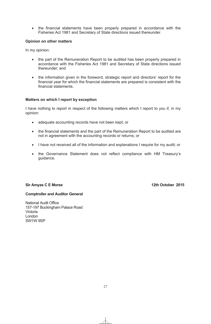• the financial statements have been properly prepared in accordance with the Fisheries Act 1981 and Secretary of State directions issued thereunder.

# **Opinion on other matters**

In my opinion:

- the part of the Remuneration Report to be audited has been properly prepared in accordance with the Fisheries Act 1981 and Secretary of State directions issued thereunder; and
- the information given in the foreword, strategic report and directors' report for the financial year for which the financial statements are prepared is consistent with the financial statements.

#### **Matters on which I report by exception**

I have nothing to report in respect of the following matters which I report to you if, in my opinion:

- adequate accounting records have not been kept; or
- the financial statements and the part of the Remuneration Report to be audited are not in agreement with the accounting records or returns; or
- I have not received all of the information and explanations I require for my audit; or
- the Governance Statement does not reflect compliance with HM Treasury's guidance.

# **Sir Amyas C E Morse** 12th October 2015

#### **Comptroller and Auditor General**

National Audit Office 157-197 Buckingham Palace Road Victoria London SW1W 9SP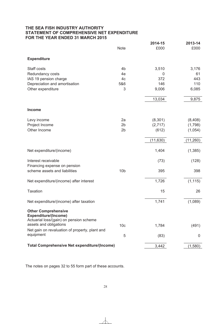# **THE SEA FISH INDUSTRY AUTHORITY STATEMENT OF COMPREHENSIVE NET EXPENDITURE FOR THE YEAR ENDED 31 MARCH 2015**

|                                                                                                      |                 | 2014-15   | 2013-14  |
|------------------------------------------------------------------------------------------------------|-----------------|-----------|----------|
|                                                                                                      | <b>Note</b>     | £000      | £000     |
| <b>Expenditure</b>                                                                                   |                 |           |          |
| Staff costs                                                                                          | 4 <sub>b</sub>  | 3,510     | 3,176    |
| Redundancy costs                                                                                     | 4e              | 0         | 61       |
| IAS 19 pension charge                                                                                | 4c              | 372       | 443      |
| Depreciation and amortisation                                                                        | 5&6             | 146       | 110      |
| Other expenditure                                                                                    | 3               | 9,006     | 6,085    |
|                                                                                                      |                 | 13,034    | 9,875    |
|                                                                                                      |                 |           |          |
| <b>Income</b>                                                                                        |                 |           |          |
| Levy income                                                                                          | 2a              | (8, 301)  | (8,408)  |
| Project Income                                                                                       | 2 <sub>b</sub>  | (2,717)   | (1,798)  |
| Other Income                                                                                         | 2 <sub>b</sub>  | (612)     | (1,054)  |
|                                                                                                      |                 | (11, 630) | (11,260) |
| Net expenditure/(income)                                                                             |                 | 1,404     | (1, 385) |
| Interest receivable                                                                                  |                 | (73)      | (128)    |
| Financing expense on pension                                                                         |                 |           |          |
| scheme assets and liabilities                                                                        | 10 <sub>b</sub> | 395       | 398      |
| Net expenditure/(income) after interest                                                              |                 | 1,726     | (1, 115) |
| <b>Taxation</b>                                                                                      |                 | 15        | 26       |
| Net expenditure/(income) after taxation                                                              |                 | 1,741     | (1,089)  |
| <b>Other Comprehensive</b><br><b>Expenditure/(Income)</b><br>Actuarial loss/(gain) on pension scheme |                 |           |          |
| assets and obligations                                                                               | 10 <sub>c</sub> | 1,784     | (491)    |
| Net gain on revaluation of property, plant and<br>equipment                                          |                 |           |          |
|                                                                                                      | 5               | (83)      | 0        |
| <b>Total Comprehensive Net expenditure/(Income)</b>                                                  |                 | 3,442     | (1,580)  |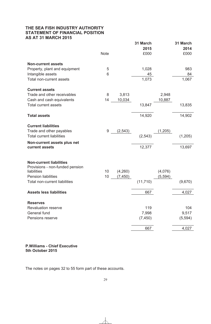# **THE SEA FISH INDUSTRY AUTHORITY STATEMENT OF FINANCIAL POSITION AS AT 31 MARCH 2015**

|                                                                   |             |          | 31 March  |          | 31 March |
|-------------------------------------------------------------------|-------------|----------|-----------|----------|----------|
|                                                                   |             |          | 2015      |          | 2014     |
|                                                                   | <b>Note</b> |          | £000      |          | £000     |
| <b>Non-current assets</b>                                         |             |          |           |          |          |
| Property, plant and equipment                                     | 5           |          | 1,028     |          | 983      |
| Intangible assets                                                 | 6           |          | 45        |          | 84       |
| Total non-current assets                                          |             |          | 1,073     |          | 1,067    |
| <b>Current assets</b>                                             |             |          |           |          |          |
| Trade and other receivables                                       | 8           | 3,813    |           | 2,948    |          |
| Cash and cash equivalents                                         | 14          | 10,034   |           | 10,887   |          |
| <b>Total current assets</b>                                       |             |          | 13,847    |          | 13,835   |
| <b>Total assets</b>                                               |             |          | 14,920    |          | 14,902   |
|                                                                   |             |          |           |          |          |
| <b>Current liabilities</b>                                        |             |          |           |          |          |
| Trade and other payables                                          | 9           | (2, 543) |           | (1, 205) |          |
| <b>Total current liabilities</b>                                  |             |          | (2, 543)  |          | (1,205)  |
| Non-current assets plus net                                       |             |          |           |          |          |
| current assets                                                    |             |          | 12,377    |          | 13,697   |
|                                                                   |             |          |           |          |          |
| <b>Non-current liabilities</b><br>Provisions - non-funded pension |             |          |           |          |          |
| liabilities                                                       | 10          | (4,260)  |           | (4,076)  |          |
| <b>Pension liabilities</b>                                        | 10          | (7, 450) |           | (5, 594) |          |
| <b>Total non-current liabilities</b>                              |             |          | (11, 710) |          | (9,670)  |
| <b>Assets less liabilities</b>                                    |             |          | 667       |          | 4,027    |
|                                                                   |             |          |           |          |          |
| <b>Reserves</b>                                                   |             |          |           |          |          |
| Revaluation reserve                                               |             |          | 119       |          | 104      |
| General fund                                                      |             |          | 7,998     |          | 9,517    |
| Pensions reserve                                                  |             |          | (7, 450)  |          | (5,594)  |
|                                                                   |             |          | 667       |          | 4,027    |

# **P.Williams - Chief Executive 5th October 2015**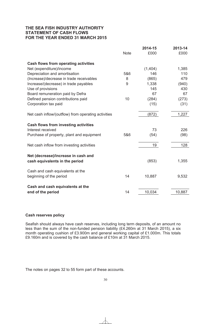# **THE SEA FISH INDUSTRY AUTHORITY STATEMENT OF CASH FLOWS FOR THE YEAR ENDED 31 MARCH 2015**

|                                                                       |             | 2014-15 | 2013-14 |
|-----------------------------------------------------------------------|-------------|---------|---------|
|                                                                       | <b>Note</b> | £000    | £000    |
| Cash flows from operating activities                                  |             |         |         |
| Net (expenditure)/income                                              |             | (1,404) | 1,385   |
| Depreciation and amortisation                                         | 5&6         | 146     | 110     |
| (Increase)/decrease in trade receivables                              | 8           | (865)   | 479     |
| Increase/(decrease) in trade payables                                 | 9           | 1,338   | (940)   |
| Use of provisions                                                     |             | 145     | 430     |
| Board remuneration paid by Defra                                      |             | 67      | 67      |
| Defined pension contributions paid                                    | 10          | (284)   | (273)   |
| Corporation tax paid                                                  |             | (15)    | (31)    |
| Net cash inflow/(outflow) from operating activities                   |             | (872)   | 1,227   |
| <b>Cash flows from investing activities</b>                           |             |         |         |
| Interest received                                                     |             | 73      | 226     |
| Purchase of property, plant and equipment                             | 5&6         | (54)    | (98)    |
| Net cash inflow from investing activities                             |             | 19      | 128     |
|                                                                       |             |         |         |
| Net (decrease)/increase in cash and<br>cash equivalents in the period |             | (853)   | 1,355   |
| Cash and cash equivalents at the                                      |             |         |         |
| beginning of the period                                               | 14          | 10,887  | 9,532   |
| Cash and cash equivalents at the                                      |             |         |         |
| end of the period                                                     | 14          | 10,034  | 10,887  |

# **Cash reserves policy**

Seafish should always have cash reserves, including long term deposits, of an amount no less than the sum of the non-funded pension liability (£4.260m at 31 March 2015), a six month operating cushion of £3.900m and general working capital of £1.000m. This totals £9.160m and is covered by the cash balance of £10m at 31 March 2015.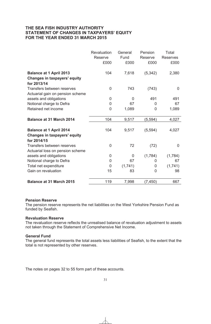# **THE SEA FISH INDUSTRY AUTHORITY STATEMENT OF CHANGES IN TAXPAYERS' EQUITY FOR THE YEAR ENDED 31 MARCH 2015**

|                                                                                      | Revaluation<br>Reserve | General<br>Fund | Pension<br>Reserve | Total<br><b>Reserves</b> |
|--------------------------------------------------------------------------------------|------------------------|-----------------|--------------------|--------------------------|
|                                                                                      | £000                   | £000            | £000               | £000                     |
| <b>Balance at 1 April 2013</b>                                                       | 104                    | 7,618           | (5, 342)           | 2,380                    |
| <b>Changes in taxpayers' equity</b><br>for 2013/14                                   |                        |                 |                    |                          |
| Transfers between reserves<br>Actuarial gain on pension scheme                       | 0                      | 743             | (743)              | 0                        |
| assets and obligations                                                               | $\Omega$               | $\Omega$        | 491                | 491                      |
| Notional charge to Defra                                                             | 0                      | 67              | 0                  | 67                       |
| Retained net income                                                                  | 0                      | 1,089           | 0                  | 1,089                    |
| <b>Balance at 31 March 2014</b>                                                      | 104                    | 9,517           | (5, 594)           | 4,027                    |
| <b>Balance at 1 April 2014</b><br><b>Changes in taxpayers' equity</b><br>for 2014/15 | 104                    | 9,517           | (5, 594)           | 4,027                    |
| Transfers between reserves<br>Actuarial loss on pension scheme                       | 0                      | 72              | (72)               | 0                        |
| assets and obligations                                                               | 0                      | 0               | (1,784)            | (1,784)                  |
| Notional charge to Defra                                                             | 0                      | 67              | 0                  | 67                       |
| Total net expenditure                                                                | 0                      | (1,741)         | 0                  | (1,741)                  |
| Gain on revaluation                                                                  | 15                     | 83              | $\overline{0}$     | 98                       |
| <b>Balance at 31 March 2015</b>                                                      | 119                    | 7,998           | (7, 450)           | 667                      |

#### **Pension Reserve**

The pension reserve represents the net liabilities on the West Yorkshire Pension Fund as funded by Seafish.

#### **Revaluation Reserve**

The revaluation reserve reflects the unrealised balance of revaluation adjustment to assets not taken through the Statement of Comprehensive Net Income.

#### **General Fund**

The general fund represents the total assets less liabilities of Seafish, to the extent that the total is not represented by other reserves.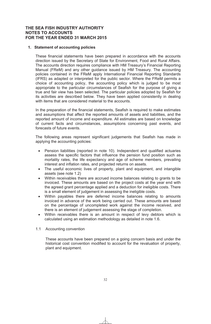# **1. Statement of accounting policies**

These financial statements have been prepared in accordance with the accounts direction issued by the Secretary of State for Environment, Food and Rural Affairs. The accounts direction requires compliance with HM Treasury's Financial Reporting Manual (FReM) and any other guidance issued by HM Treasury. The accounting policies contained in the FReM apply International Financial Reporting Standards (IFRS) as adapted or interpreted for the public sector. Where the FReM permits a choice of accounting policy, the accounting policy which is judged to be most appropriate to the particular circumstances of Seafish for the purpose of giving a true and fair view has been selected. The particular policies adopted by Seafish for its activities are described below. They have been applied consistently in dealing with items that are considered material to the accounts.

In the preparation of the financial statements, Seafish is required to make estimates and assumptions that affect the reported amounts of assets and liabilities, and the reported amount of income and expenditure. All estimates are based on knowledge of current facts and circumstances, assumptions concerning past events, and forecasts of future events.

The following areas represent significant judgements that Seafish has made in applying the accounting policies:

- Pension liabilities (reported in note 10). Independent and qualified actuaries assess the specific factors that influence the pension fund position such as mortality rates, the life expectancy and age of scheme members, prevailing interest and inflation rates, and projected returns on assets.
- The useful economic lives of property, plant and equipment, and intangible assets (see note 1.2)
- Within receivables there are accrued income balances relating to grants to be invoiced. These amounts are based on the project costs at the year end with the agreed grant percentage applied and a deduction for ineligible costs. There is a small element of judgement in assessing the ineligible costs.
- Within payables there are deferred income balances relating to amounts invoiced in advance of the work being carried out. These amounts are based on the percentage of uncompleted work against the income received, and there is an element of judgement assessing the stage of completion.
- Within receivables there is an amount in respect of levy debtors which is calculated using an estimation methodology as detailed in note 1.6.
- 1.1 Accounting convention

These accounts have been prepared on a going concern basis and under the historical cost convention modified to account for the revaluation of property, plant and equipment.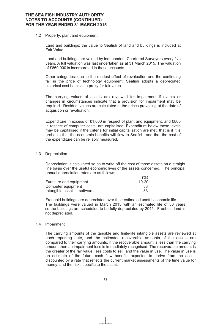#### 1.2 Property, plant and equipment

Land and buildings: the value to Seafish of land and buildings is included at Fair Value.

Land and buildings are valued by independent Chartered Surveyors every five years. A full valuation was last undertaken as at 31 March 2015. The valuation of £860,000 is incorporated in these accounts.

Other categories: due to the modest effect of revaluation and the continuing fall in the price of technology equipment, Seafish adopts a depreciated historical cost basis as a proxy for fair value.

The carrying values of assets are reviewed for impairment if events or changes in circumstances indicate that a provision for impairment may be required. Residual values are calculated at the prices prevailing at the date of acquisition or revaluation.

Expenditure in excess of £1,000 in respect of plant and equipment, and £800 in respect of computer costs, are capitalised. Expenditure below these levels may be capitalised if the criteria for initial capitalisation are met, that is if it is probable that the economic benefits will flow to Seafish, and that the cost of the expenditure can be reliably measured.

#### 1.3 Depreciation

Depreciation is calculated so as to write off the cost of those assets on a straight line basis over the useful economic lives of the assets concerned. The principal annual depreciation rates are as follows:

|                             | (% )      |
|-----------------------------|-----------|
| Furniture and equipment     | $10 - 20$ |
| Computer equipment          | -33       |
| Intangible asset — software | -33       |

Freehold buildings are depreciated over their estimated useful economic life. The buildings were valued in March 2015 with an estimated life of 30 years so the buildings are scheduled to be fully depreciated by 2045. Freehold land is not depreciated.

#### 1.4 Impairment

The carrying amounts of the tangible and finite-life intangible assets are reviewed at each reporting date, and the estimated recoverable amounts of the assets are compared to their carrying amounts. If the recoverable amount is less than the carrying amount then an impairment loss is immediately recognised. The recoverable amount is the greater of the fair value, less costs to sell, and the value in use. The value in use is an estimate of the future cash flow benefits expected to derive from the asset, discounted by a rate that reflects the current market assessments of the time value for money, and the risks specific to the asset.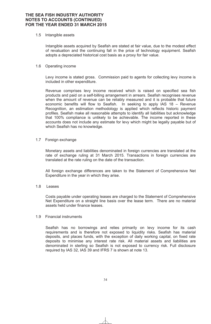#### 1.5 Intangible assets

Intangible assets acquired by Seafish are stated at fair value, due to the modest effect of revaluation and the continuing fall in the price of technology equipment. Seafish adopts a depreciated historical cost basis as a proxy for fair value.

#### 1.6 Operating income

Levy income is stated gross. Commission paid to agents for collecting levy income is included in other expenditure.

Revenue comprises levy income received which is raised on specified sea fish products and paid on a self-billing arrangement in arrears. Seafish recognises revenue when the amount of revenue can be reliably measured and it is probable that future economic benefits will flow to Seafish. In seeking to apply IAS 18 – Revenue Recognition, an estimation methodology is applied which reflects historic payment profiles. Seafish make all reasonable attempts to identify all liabilities but acknowledge that 100% compliance is unlikely to be achievable. The income reported in these accounts does not include any estimate for levy which might be legally payable but of which Seafish has no knowledge.

#### 1.7 Foreign exchange

Monetary assets and liabilities denominated in foreign currencies are translated at the rate of exchange ruling at 31 March 2015. Transactions in foreign currencies are translated at the rate ruling on the date of the transaction.

All foreign exchange differences are taken to the Statement of Comprehensive Net Expenditure in the year in which they arise.

#### 1.8 Leases

Costs payable under operating leases are charged to the Statement of Comprehensive Net Expenditure on a straight line basis over the lease term. There are no material assets held under finance leases.

#### 1.9 Financial instruments

Seafish has no borrowings and relies primarily on levy income for its cash requirements and is therefore not exposed to liquidity risks. Seafish has material deposits, and places funds, with the exception of daily working capital, on fixed rate deposits to minimise any interest rate risk. All material assets and liabilities are denominated in sterling so Seafish is not exposed to currency risk. Full disclosure required by IAS 32, IAS 39 and IFRS 7 is shown at note 13.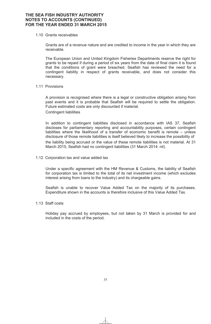#### 1.10 Grants receivables

Grants are of a revenue nature and are credited to income in the year in which they are receivable.

The European Union and United Kingdom Fisheries Departments reserve the right for grants to be repaid if during a period of six years from the date of final claim it is found that the conditions of grant were breached. Seafish has reviewed the need for a contingent liability in respect of grants receivable, and does not consider this necessary.

#### 1.11 Provisions

A provision is recognised where there is a legal or constructive obligation arising from past events and it is probable that Seafish will be required to settle the obligation. Future estimated costs are only discounted if material.

Contingent liabilities

In addition to contingent liabilities disclosed in accordance with IAS 37, Seafish discloses for parliamentary reporting and accountability purposes, certain contingent liabilities where the likelihood of a transfer of economic benefit is remote – unless disclosure of those remote liabilities is itself believed likely to increase the possibility of the liability being accrued or the value of these remote liabilities is not material. At 31 March 2015, Seafish had no contingent liabilities (31 March 2014: nil).

1.12 Corporation tax and value added tax

Under a specific agreement with the HM Revenue & Customs, the liability of Seafish for corporation tax is limited to the total of its net investment income (which excludes interest arising from loans to the industry) and its chargeable gains.

 Seafish is unable to recover Value Added Tax on the majority of its purchases. Expenditure shown in the accounts is therefore inclusive of this Value Added Tax.

#### 1.13 Staff costs

Holiday pay accrued by employees, but not taken by 31 March is provided for and included in the costs of the period.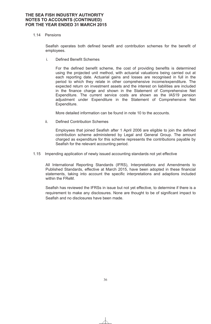# 1.14 Pensions

Seafish operates both defined benefit and contribution schemes for the benefit of employees.

i. Defined Benefit Schemes

For the defined benefit scheme, the cost of providing benefits is determined using the projected unit method, with actuarial valuations being carried out at each reporting date. Actuarial gains and losses are recognised in full in the period to which they relate in other comprehensive income/expenditure. The expected return on investment assets and the interest on liabilities are included in the finance charge and shown in the Statement of Comprehensive Net Expenditure. The current service costs are shown as the IAS19 pension adjustment under Expenditure in the Statement of Comprehensive Net Expenditure.

More detailed information can be found in note 10 to the accounts.

ii. Defined Contribution Schemes

Employees that joined Seafish after 1 April 2006 are eligible to join the defined contribution scheme administered by Legal and General Group. The amount charged as expenditure for this scheme represents the contributions payable by Seafish for the relevant accounting period.

1.15 Impending application of newly issued accounting standards not yet effective

All International Reporting Standards (IFRS), Interpretations and Amendments to Published Standards, effective at March 2015, have been adopted in these financial statements, taking into account the specific interpretations and adaptions included within the FReM.

Seafish has reviewed the IFRSs in issue but not yet effective, to determine if there is a requirement to make any disclosures. None are thought to be of significant impact to Seafish and no disclosures have been made.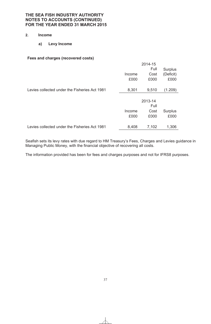- **2. Income**
	- **a) Levy Income**

| Fees and charges (recovered costs) |  |
|------------------------------------|--|
|------------------------------------|--|

|                                               |        | 2014-15 |           |
|-----------------------------------------------|--------|---------|-----------|
|                                               |        | Full    | Surplus   |
|                                               | Income | Cost    | (Deficit) |
|                                               | £000   | £000    | £000      |
| Levies collected under the Fisheries Act 1981 | 8,301  | 9,510   | (1.209)   |
|                                               |        |         |           |
|                                               |        | 2013-14 |           |
|                                               |        | Full    |           |
|                                               | Income | Cost    | Surplus   |
|                                               | £000   | £000    | £000      |
| Levies collected under the Fisheries Act 1981 | 8,408  | 7,102   | 1,306     |
|                                               |        |         |           |

Seafish sets its levy rates with due regard to HM Treasury's Fees, Charges and Levies guidance in Managing Public Money, with the financial objective of recovering all costs.

The information provided has been for fees and charges purposes and not for IFRS8 purposes.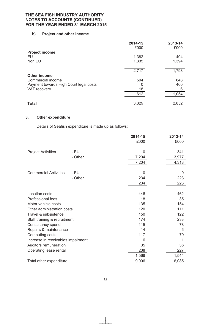# **b) Project and other income**

|                                        | 2014-15<br>£000 | 2013-14<br>£000 |
|----------------------------------------|-----------------|-----------------|
| <b>Project income</b>                  |                 |                 |
| EU                                     | 1,382           | 404             |
| Non EU                                 | 1,335           | 1,394           |
|                                        | 2,717           | 1,798           |
| <b>Other income</b>                    |                 |                 |
| Commercial income                      | 594             | 648             |
| Payment towards High Court legal costs | 0               | 400             |
| VAT recovery                           | 18              | 6               |
|                                        | 612             | 1,054           |
|                                        |                 |                 |
| <b>Total</b>                           | 3,329           | 2,852           |

# **3. Other expenditure**

Details of Seafish expenditure is made up as follows:

|                                    |         | 2014-15  | 2013-14  |
|------------------------------------|---------|----------|----------|
|                                    |         | £000     | £000     |
| <b>Project Activities</b>          | - EU    | $\Omega$ | 341      |
|                                    | - Other | 7,204    | 3,977    |
|                                    |         | 7,204    | 4,318    |
|                                    |         |          |          |
| <b>Commercial Activities</b>       | - EU    | 0        | $\Omega$ |
|                                    | - Other | 234      | 223      |
|                                    |         | 234      | 223      |
|                                    |         |          |          |
| <b>Location costs</b>              |         | 446      | 462      |
| Professional fees                  |         | 18       | 35       |
| Motor vehicle costs                |         | 135      | 154      |
| Other administration costs         |         | 120      | 111      |
| Travel & subsistence               |         | 150      | 122      |
| Staff training & recruitment       |         | 174      | 233      |
| Consultancy spend                  |         | 115      | 78       |
| Repairs & maintenance              |         | 14       | 6        |
| Computing costs                    |         | 117      | 79       |
| Increase in receivables impairment |         | 6        |          |
| Auditors remuneration              |         | 35       | 36       |
| Operating lease rental             |         | 238      | 227      |
|                                    |         | 1,568    | 1,544    |
| Total other expenditure            |         | 9,006    | 6,085    |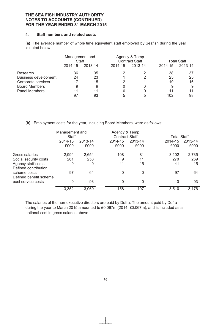# **4. Staff numbers and related costs**

**(a)** The average number of whole time equivalent staff employed by Seafish during the year is noted below.

|                             | Management and<br><b>Staff</b> |         |         | Agency & Temp<br><b>Contract Staff</b> |         | <b>Total Staff</b> |  |
|-----------------------------|--------------------------------|---------|---------|----------------------------------------|---------|--------------------|--|
|                             | 2014-15                        | 2013-14 | 2014-15 | 2013-14                                | 2014-15 | 2013-14            |  |
| Research                    | 36                             | 35      |         |                                        | 38      | 37                 |  |
| <b>Business development</b> | 24                             | 23      |         |                                        | 25      | 25                 |  |
| Corporate services          | 17                             | 15      |         |                                        | 19      | 16                 |  |
| <b>Board Members</b>        | 9                              | 9       |         |                                        |         | 9                  |  |
| <b>Panel Members</b>        | 11                             |         |         |                                        |         | 11                 |  |
|                             | 97                             | 93      |         |                                        | 102     | 98                 |  |

**(b)** Employment costs for the year, including Board Members, were as follows:

|                                            | Management and<br><b>Staff</b> |                 |                 | Agency & Temp<br><b>Contract Staff</b> |                 | <b>Total Staff</b> |  |
|--------------------------------------------|--------------------------------|-----------------|-----------------|----------------------------------------|-----------------|--------------------|--|
|                                            | 2014-15<br>£000                | 2013-14<br>£000 | 2014-15<br>£000 | 2013-14<br>£000                        | 2014-15<br>£000 | 2013-14<br>£000    |  |
| Gross salaries                             | 2,994                          | 2,654           | 108             | 81                                     | 3,102           | 2,735              |  |
| Social security costs                      | 261                            | 258             | 9               | 11                                     | 270             | 269                |  |
| Agency staff costs<br>Defined contribution | 0                              | 0               | 41              | 15                                     | 41              | 15                 |  |
| scheme costs<br>Defined benefit scheme     | 97                             | 64              | 0               | 0                                      | 97              | 64                 |  |
| past service costs                         | 0                              | 93              | 0               | 0                                      | 0               | 93                 |  |
|                                            | 3,352                          | 3,069           | 158             | 107                                    | 3,510           | 3,176              |  |
|                                            |                                |                 |                 |                                        |                 |                    |  |

The salaries of the non-executive directors are paid by Defra. The amount paid by Defra during the year to March 2015 amounted to £0.067m (2014: £0.067m), and is included as a notional cost in gross salaries above.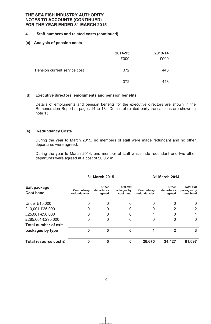#### **4. Staff numbers and related costs (continued)**

#### **(c) Analysis of pension costs**

|                              | 2014-15<br>£000 | 2013-14<br>£000 |
|------------------------------|-----------------|-----------------|
| Pension current service cost | 372             | 443             |
|                              | 372             |                 |

#### **(d) Executive directors' emoluments and pension benefits**

Details of emoluments and pension benefits for the executive directors are shown in the Remuneration Report at pages 14 to 18. Details of related party transactions are shown in note 15.

#### **(e) Redundancy Costs**

During the year to March 2015, no members of staff were made redundant and no other departures were agreed.

During the year to March 2014, one member of staff was made redundant and two other departures were agreed at a cost of £0.061m.

|  |  | 31 March 2015 |
|--|--|---------------|
|--|--|---------------|

#### **31 March 2015 31 March 2014**

| <b>Exit package</b><br><b>Cost band</b> | <b>Compulsory</b><br>redundancies | Other<br>departures<br>agreed | <b>Total exit</b><br>packages by<br>cost band | Compulsory<br>redundancies | <b>Other</b><br>departures<br>agreed | <b>Total exit</b><br>packages by<br>cost band |
|-----------------------------------------|-----------------------------------|-------------------------------|-----------------------------------------------|----------------------------|--------------------------------------|-----------------------------------------------|
| <b>Under £10,000</b>                    |                                   | 0                             |                                               | 0                          | 0                                    |                                               |
| £10,001-£25,000                         |                                   | 0                             | 0                                             | 0                          | 2                                    |                                               |
| £25,001-£50,000                         | 0                                 | 0                             | 0                                             |                            | 0                                    |                                               |
| £285,001-£290,000                       | 0                                 | 0                             | 0                                             | 0                          | 0                                    |                                               |
| <b>Total number of exit</b>             |                                   |                               |                                               |                            |                                      |                                               |
| packages by type                        |                                   | O                             |                                               |                            | 2                                    |                                               |
| Total resource cost £                   |                                   |                               |                                               | 26,670                     | 34,427                               | 61,097                                        |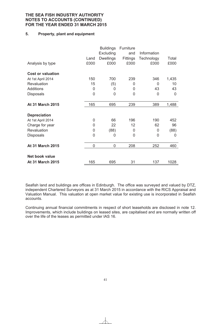# **5. Property, plant and equipment**

|                          | Land           | <b>Buildings</b><br>Excluding<br><b>Dwellings</b> | Furniture<br>and<br>Fittings | Information<br>Technology | Total       |
|--------------------------|----------------|---------------------------------------------------|------------------------------|---------------------------|-------------|
| Analysis by type         | £000           | £000                                              | £000                         | £000                      | £000        |
| <b>Cost or valuation</b> |                |                                                   |                              |                           |             |
| At 1st April 2014        | 150            | 700                                               | 239                          | 346                       | 1,435       |
| Revaluation              | 15             | (5)                                               | 0                            | 0                         | 10          |
| <b>Additions</b>         | 0              | 0                                                 | 0                            | 43                        | 43          |
| <b>Disposals</b>         | $\overline{0}$ | $\overline{0}$                                    | 0                            | 0                         | $\mathbf 0$ |
| At 31 March 2015         | 165            | 695                                               | 239                          | 389                       | 1,488       |
| <b>Depreciation</b>      |                |                                                   |                              |                           |             |
| At 1st April 2014        | 0              | 66                                                | 196                          | 190                       | 452         |
| Charge for year          | 0              | 22                                                | 12                           | 62                        | 96          |
| Revaluation              | 0              | (88)                                              | 0                            | 0                         | (88)        |
| <b>Disposals</b>         | $\Omega$       | $\Omega$                                          | 0                            | $\Omega$                  | 0           |
| <b>At 31 March 2015</b>  | 0              | $\mathbf 0$                                       | 208                          | 252                       | 460         |
| Net book value           |                |                                                   |                              |                           |             |
| <b>At 31 March 2015</b>  | 165            | 695                                               | 31                           | 137                       | 1028        |

Seafish land and buildings are offices in Edinburgh. The office was surveyed and valued by DTZ, independent Chartered Surveyors as at 31 March 2015 in accordance with the RICS Appraisal and Valuation Manual. This valuation at open market value for existing use is incorporated in Seafish accounts.

Continuing annual financial commitments in respect of short leaseholds are disclosed in note 12. Improvements, which include buildings on leased sites, are capitalised and are normally written off over the life of the leases as permitted under IAS 16.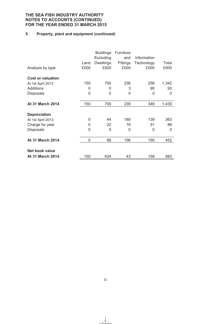# **5. Property, plant and equipment (continued)**

| Analysis by type         | Land<br>£000 | <b>Buildings</b><br>Excluding<br><b>Dwellings</b><br>£000 | Furniture<br>and<br>Fittings<br>£000 | Information<br>Technology<br>£000 | Total<br>£000 |
|--------------------------|--------------|-----------------------------------------------------------|--------------------------------------|-----------------------------------|---------------|
| <b>Cost or valuation</b> |              |                                                           |                                      |                                   |               |
| At 1st April 2013        | 150          | 700                                                       | 236                                  | 256                               | 1,342         |
| Additions                | 0            | 0                                                         | 3                                    | 90                                | 93            |
| <b>Disposals</b>         | 0            | 0                                                         | $\overline{0}$                       | 0                                 | 0             |
| <b>At 31 March 2014</b>  | 150          | 700                                                       | 239                                  | 346                               | 1,435         |
| <b>Depreciation</b>      |              |                                                           |                                      |                                   |               |
| At 1st April 2013        | 0            | 44                                                        | 180                                  | 139                               | 363           |
| Charge for year          | 0            | 22                                                        | 16                                   | 51                                | 89            |
| <b>Disposals</b>         | 0            | 0                                                         | 0                                    | 0                                 | $\Omega$      |
| <b>At 31 March 2014</b>  | 0            | 66                                                        | 196                                  | 190                               | 452           |
| Net book value           |              |                                                           |                                      |                                   |               |
| <b>At 31 March 2014</b>  | 150          | 634                                                       | 43                                   | 156                               | 983           |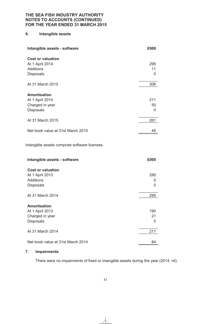# **6. Intangible assets**

| Intangible assets - software      | £000 |
|-----------------------------------|------|
| <b>Cost or valuation</b>          |      |
| At 1 April 2014                   | 295  |
| Additions                         | 11   |
| <b>Disposals</b>                  | 0    |
|                                   |      |
| At 31 March 2015                  | 306  |
| <b>Amortisation</b>               |      |
| At 1 April 2014                   | 211  |
| Charged in year                   | 50   |
| <b>Disposals</b>                  | 0    |
|                                   |      |
| At 31 March 2015                  | 261  |
|                                   |      |
| Net book value at 31st March 2015 | 45   |

Intangible assets comprise software licenses.

| Intangible assets - software      | £000 |
|-----------------------------------|------|
| <b>Cost or valuation</b>          |      |
| At 1 April 2013                   | 290  |
| Additions                         | 5    |
| <b>Disposals</b>                  | 0    |
| At 31 March 2014                  | 295  |
|                                   |      |
| <b>Amortisation</b>               |      |
| At 1 April 2013                   | 190  |
| Charged in year                   | 21   |
| <b>Disposals</b>                  | 0    |
| At 31 March 2014                  | 211  |
|                                   |      |
| Net book value at 31st March 2014 | 84   |

# **7. Impairments**

There were no impairments of fixed or intangible assets during the year (2014: nil).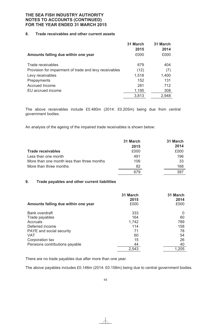# **8. Trade receivables and other current assets**

|                                                        | 31 March | 31 March |
|--------------------------------------------------------|----------|----------|
|                                                        | 2015     | 2014     |
| Amounts falling due within one year                    | £000     | £000     |
|                                                        |          |          |
| Trade receivables                                      | 679      | 404      |
| Provision for impairment of trade and levy receivables | (12)     | (7)      |
| Levy receivables                                       | 1,518    | 1,400    |
| Prepayments                                            | 152      | 131      |
| Accrued Income                                         | 281      | 712      |
| EU accrued income                                      | 1,195    | 308      |
|                                                        | 3,813    | 2,948    |

The above receivables include £0.480m (2014: £0.205m) being due from central government bodies.

An analysis of the ageing of the impaired trade receivables is shown below:

|                                            | 31 March | 31 March |
|--------------------------------------------|----------|----------|
|                                            | 2015     | 2014     |
| <b>Trade receivables</b>                   | £000     | £000     |
| Less than one month                        | 491      | 196      |
| More than one month less than three months | 106      | -33      |
| More than three months                     | 82       | 168      |
|                                            |          | 397      |

# **9. Trade payables and other current liabilities**

|                                     | 31 March<br>2015 | 31 March<br>2014 |
|-------------------------------------|------------------|------------------|
| Amounts falling due within one year | £000             | £000             |
| Bank overdraft                      | 333              |                  |
| Trade payables                      | 164              | 60               |
| Accruals                            | 1,742            | 789              |
| Deferred income                     | 114              | 158              |
| PAYE and social security            | 71               | 78               |
| <b>VAT</b>                          | 60               | 54               |
| Corporation tax                     | 15               | 26               |
| Pensions contributions payable      | 44               | 40               |
|                                     | 2,543            | 1,205            |

There are no trade payables due after more than one year.

The above payables includes £0.146m (2014: £0.158m) being due to central government bodies.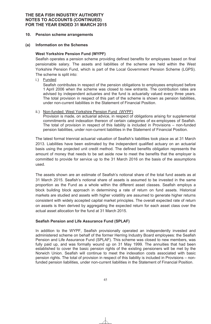#### **10. Pension scheme arrangements**

#### **(a) Information on the Schemes**

#### **West Yorkshire Pension Fund (WYPF)**

Seafish operates a pension scheme providing defined benefits for employees based on final pensionable salary. The assets and liabilities of the scheme are held within the West Yorkshire Pension Fund, which is part of the Local Government Pension Scheme (LGPS). The scheme is split into:

i.) Funded

 Seafish contributes in respect of the pension obligations to employees employed before 1 April 2006 when the scheme was closed to new entrants. The contribution rates are advised by independent actuaries and the fund is actuarially valued every three years. The total provision in respect of this part of the scheme is shown as pension liabilities, under non-current liabilities in the Statement of Financial Position.

#### ii.) Non-funded: West Yorkshire Pension Fund (WYPF)

 Provision is made, on actuarial advice, in respect of obligations arising for supplemental commitments and indexation thereon of certain categories of ex-employees of Seafish. The total of provision in respect of this liability is included in Provisions – non-funded pension liabilities, under non-current liabilities in the Statement of Financial Position.

The latest formal triennial actuarial valuation of Seafish's liabilities took place as at 31 March 2013. Liabilities have been estimated by the independent qualified actuary on an actuarial basis using the projected unit credit method. The defined benefits obligation represents the amount of money that needs to be set aside now to meet the benefits that the employer is committed to provide for service up to the 31 March 2016 on the basis of the assumptions used.

The assets shown are an estimate of Seafish's notional share of the total fund assets as at 31 March 2015. Seafish's notional share of assets is assumed to be invested in the same proportion as the Fund as a whole within the different asset classes. Seafish employs a block building block approach in determining a rate of return on fund assets. Historical markets are studied and assets with higher volatility are assumed to generate higher returns consistent with widely accepted capital market principles. The overall expected rate of return on assets is then derived by aggregating the expected return for each asset class over the actual asset allocation for the fund at 31 March 2015.

# **Seafish Pension and Life Assurance Fund (SPLAF)**

In addition to the WYPF, Seafish provisionally operated an independently invested and administered scheme on behalf of the former Herring Industry Board employees: the Seafish Pension and Life Assurance Fund (SPLAF). This scheme was closed to new members, was fully paid up, and was formally wound up on 31 May 1999. The annuities that had been established to cover the basic pension rights of the existing pensioners will be met by the Norwich Union. Seafish will continue to meet the indexation costs associated with basic pension rights. The total of provision in respect of this liability is included in Provisions – nonfunded pension liabilities, under non-current liabilities in the Statement of Financial Position.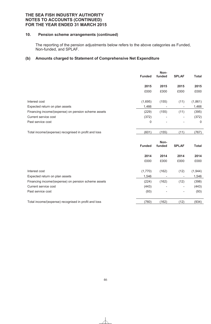# **10. Pension scheme arrangements (continued)**

The reporting of the pension adjustments below refers to the above categories as Funded, Non-funded, and SPLAF.

# **(b) Amounts charged to Statement of Comprehensive Net Expenditure**

|                                                      | <b>Funded</b> | Non-<br>funded           | <b>SPLAF</b>             | <b>Total</b> |
|------------------------------------------------------|---------------|--------------------------|--------------------------|--------------|
|                                                      | 2015          | 2015                     | 2015                     | 2015         |
|                                                      | £000          | £000                     | £000                     | £000         |
| Interest cost                                        | (1,695)       | (155)                    | (11)                     | (1,861)      |
| Expected return on plan assets                       | 1,466         | $\overline{\phantom{a}}$ | $\overline{\phantom{a}}$ | 1,466        |
| Financing income/(expense) on pension scheme assets  | (229)         | (155)                    | (11)                     | (395)        |
| Current service cost                                 | (372)         |                          | $\overline{\phantom{a}}$ | (372)        |
| Past service cost                                    | $\mathbf 0$   |                          |                          | 0            |
| Total income/(expense) recognised in profit and loss | (601)         | (155)                    | (11)                     | (767)        |
|                                                      | <b>Funded</b> | Non-<br>funded           | <b>SPLAF</b>             | <b>Total</b> |
|                                                      | 2014          | 2014                     | 2014                     | 2014         |
|                                                      | £000          | £000                     | £000                     | £000         |
| Interest cost                                        | (1,770)       | (162)                    | (12)                     | (1,944)      |
| Expected return on plan assets                       | 1,546         |                          |                          | 1,546        |
| Financing income/(expense) on pension scheme assets  | (224)         | (162)                    | (12)                     | (398)        |
| Current service cost                                 | (443)         |                          |                          | (443)        |
| Past service cost                                    | (93)          | $\overline{a}$           | $\qquad \qquad -$        | (93)         |

Total income/(expense) recognised in profit and loss (760) (162) (12) (934)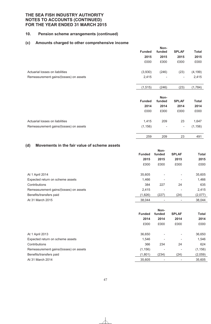# **10. Pension scheme arrangements (continued)**

#### **(c) Amounts charged to other comprehensive income**

|                                                                           | <b>Funded</b><br>2015<br>£000 | Non-<br>funded<br>2015<br>£000 | <b>SPLAF</b><br>2015<br>£000   | <b>Total</b><br>2015<br>£000 |
|---------------------------------------------------------------------------|-------------------------------|--------------------------------|--------------------------------|------------------------------|
| Actuarial losses on liabilities                                           | (3,930)                       | (246)                          | (23)                           | (4, 199)                     |
| Remeasurement gains/(losses) on assets                                    | 2,415                         |                                | $\overline{\phantom{a}}$       | 2,415                        |
|                                                                           | (1, 515)                      | (246)                          | (23)                           | (1,784)                      |
|                                                                           | <b>Funded</b><br>2014         | Non-<br>funded<br>2014         | <b>SPLAF</b><br>2014           | <b>Total</b><br>2014         |
|                                                                           | £000                          | £000                           | £000                           | £000                         |
| Actuarial losses on liabilities<br>Remeasurement gains/(losses) on assets | 1,415<br>(1, 156)             | 209                            | 23<br>$\overline{\phantom{a}}$ | 1,647<br>(1, 156)            |
|                                                                           | 259                           | 209                            | 23                             | 491                          |

# **(d) Movements in the fair value of scheme assets**

|                                        |               | Non-                     |                          |         |
|----------------------------------------|---------------|--------------------------|--------------------------|---------|
|                                        | <b>Funded</b> | funded                   | <b>SPLAF</b>             | Total   |
|                                        | 2015          | 2015                     | 2015                     | 2015    |
|                                        | £000          | £000                     | £000                     | £000    |
|                                        |               |                          |                          |         |
| At 1 April 2014                        | 35,605        | -                        | $\overline{\phantom{a}}$ | 35,605  |
| Expected return on scheme assets       | 1,466         | $\overline{\phantom{0}}$ | $\overline{\phantom{a}}$ | 1,466   |
| Contributions                          | 384           | 227                      | 24                       | 635     |
| Remeasurement gains/(losses) on assets | 2,415         |                          | $\overline{\phantom{a}}$ | 2,415   |
| Benefits/transfers paid                | (1,826)       | (227)                    | (24)                     | (2,077) |
| At 31 March 2015                       | 38.044        |                          | -                        | 38,044  |
|                                        |               |                          |                          |         |

|                                        | Non-          |        |                          |              |  |
|----------------------------------------|---------------|--------|--------------------------|--------------|--|
|                                        | <b>Funded</b> | funded | <b>SPLAF</b>             | <b>Total</b> |  |
|                                        | 2014          | 2014   | 2014                     | 2014         |  |
|                                        | £000          | £000   | £000                     | £000         |  |
| At 1 April 2013                        | 36,650        | -      | -                        | 36,650       |  |
| Expected return on scheme assets       | 1,546         | -      | -                        | 1,546        |  |
| Contributions                          | 366           | 234    | 24                       | 624          |  |
| Remeasurement gains/(losses) on assets | (1, 156)      | -      | $\overline{\phantom{a}}$ | (1, 156)     |  |
| Benefits/transfers paid                | (1,801)       | (234)  | (24)                     | (2,059)      |  |
| At 31 March 2014                       | 35,605        | -      | -                        | 35,605       |  |
|                                        |               |        |                          |              |  |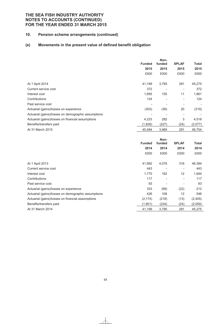# **10. Pension scheme arrangements (continued)**

# **(e) Movements in the present value of defined benefit obligation**

|                                                     | Non-<br><b>Funded</b><br>funded |                          | <b>SPLAF</b>             | <b>Total</b> |
|-----------------------------------------------------|---------------------------------|--------------------------|--------------------------|--------------|
|                                                     | 2015                            | 2015                     | 2015                     | 2015         |
|                                                     | £000                            | £000                     | £000                     | £000         |
| At 1 April 2014                                     | 41,199                          | 3,795                    | 281                      | 45,275       |
| Current service cost                                | 372                             | $\overline{\phantom{a}}$ | ۰                        | 372          |
| Interest cost                                       | 1,695                           | 155                      | 11                       | 1,861        |
| Contributions                                       | 124                             | $\overline{\phantom{a}}$ | -                        | 124          |
| Past service cost                                   |                                 |                          | $\overline{a}$           |              |
| Actuarial (gains)/losses on experience              | (303)                           | (36)                     | 20                       | (319)        |
| Actuarial (gains)/losses on demographic assumptions |                                 |                          | $\overline{\phantom{0}}$ |              |
| Actuarial (gains)/losses on financial assumptions   | 4,233                           | 282                      | 3                        | 4,518        |
| Benefits/transfers paid                             | (1,826)                         | (227)                    | (24)                     | (2,077)      |
| At 31 March 2015                                    | 45,494                          | 3,969                    | 291                      | 49,754       |

|                                                     |               | Non-                     |              |         |
|-----------------------------------------------------|---------------|--------------------------|--------------|---------|
|                                                     | <b>Funded</b> | funded                   | <b>SPLAF</b> | Total   |
|                                                     | 2014          | 2014                     | 2014         | 2014    |
|                                                     | £000          | £000                     | £000         | £000    |
|                                                     |               |                          |              |         |
| At 1 April 2013                                     | 41,992        | 4,076                    | 316          | 46,384  |
| Current service cost                                | 443           |                          | ٠            | 443     |
| Interest cost                                       | 1,770         | 162                      | 12           | 1,944   |
| Contributions                                       | 117           |                          | ٠            | 117     |
| Past service cost                                   | 93            | $\overline{\phantom{a}}$ | ٠            | 93      |
| Actuarial (gains)/losses on experience              | 333           | (99)                     | (22)         | 212     |
| Actuarial (gains)/losses on demographic assumptions | 426           | 108                      | 12           | 546     |
| Actuarial (gains)/losses on financial assumptions   | (2, 174)      | (218)                    | (13)         | (2,405) |
| Benefits/transfers paid                             | (1,801)       | (234)                    | (24)         | (2,059) |
| At 31 March 2014                                    | 41,199        | 3,795                    | 281          | 45,275  |
|                                                     |               |                          |              |         |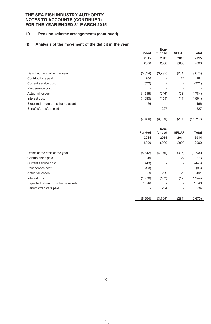# **10. Pension scheme arrangements (continued)**

# **(f) Analysis of the movement of the deficit in the year**

|                                  |                          | Non-    |                          |              |
|----------------------------------|--------------------------|---------|--------------------------|--------------|
|                                  | <b>Funded</b>            | funded  | <b>SPLAF</b>             | <b>Total</b> |
|                                  | 2015                     | 2015    | 2015                     | 2015         |
|                                  | £000                     | £000    | £000                     | £000         |
| Deficit at the start of the year | (5, 594)                 | (3,795) | (281)                    | (9,670)      |
| Contributions paid               | 260                      | -       | 24                       | 284          |
| Current service cost             | (372)                    |         | $\overline{\phantom{a}}$ | (372)        |
| Past service cost                | $\overline{\phantom{a}}$ |         |                          |              |
| <b>Actuarial losses</b>          | (1, 515)                 | (246)   | (23)                     | (1,784)      |
| Interest cost                    | (1,695)                  | (155)   | (11)                     | (1,861)      |
| Expected return on scheme assets | 1,466                    |         | $\overline{\phantom{a}}$ | 1,466        |
| Benefits/transfers paid          | $\overline{\phantom{a}}$ | 227     | $\overline{\phantom{a}}$ | 227          |
|                                  | (7, 450)                 | (3,969) | (291)                    | (11, 710)    |
|                                  |                          | Non-    |                          |              |
|                                  | <b>Funded</b>            | funded  | <b>SPLAF</b>             | <b>Total</b> |
|                                  | 2014                     | 2014    | 2014                     | 2014         |
|                                  | £000                     | £000    | £000                     | £000         |

| Deficit at the start of the year | (5, 342)                 | (4,076) | (316)                    | (9,734) |
|----------------------------------|--------------------------|---------|--------------------------|---------|
| Contributions paid               | 249                      |         | 24                       | 273     |
| Current service cost             | (443)                    |         | $\overline{\phantom{0}}$ | (443)   |
| Past service cost                | (93)                     |         | -                        | (93)    |
| <b>Actuarial losses</b>          | 259                      | 209     | 23                       | 491     |
| Interest cost                    | (1,770)                  | (162)   | (12)                     | (1,944) |
| Expected return on scheme assets | 1,546                    |         | ٠                        | 1,546   |
| Benefits/transfers paid          | $\overline{\phantom{a}}$ | 234     | -                        | 234     |
|                                  | (5, 594)                 | (3,795) | (281)                    | (9,670) |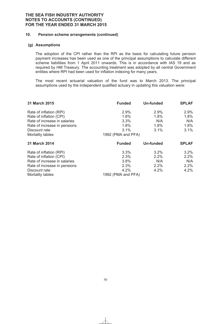#### **10. Pension scheme arrangements (continued)**

# **(g) Assumptions**

The adoption of the CPI rather than the RPI as the basis for calculating future pension payment increases has been used as one of the principal assumptions to calculate different scheme liabilities from 1 April 2011 onwards. This is in accordance with IAS 19 and as required by HM Treasury. The accounting treatment was adopted by all central Government entities where RPI had been used for inflation indexing for many years.

The most recent actuarial valuation of the fund was to March 2013. The principal assumptions used by the independent qualified actuary in updating this valuation were:

| 31 March 2015                | <b>Funded</b>      | <b>Un-funded</b> | <b>SPLAF</b> |
|------------------------------|--------------------|------------------|--------------|
| Rate of inflation (RPI)      | 2.9%               | 2.9%             | 2.9%         |
| Rate of inflation (CPI)      | 1.8%               | 1.8%             | 1.8%         |
| Rate of increase in salaries | 3.3%               | N/A              | N/A          |
| Rate of increase in pensions | 1.8%               | 1.8%             | 1.8%         |
| Discount rate                | 3.1%               | 3.1%             | 3.1%         |
| Mortality tables             | 1992 (PMA and PFA) |                  |              |
| <b>31 March 2014</b>         | <b>Funded</b>      | <b>Un-funded</b> | <b>SPLAF</b> |
| Rate of inflation (RPI)      | 3.3%               | 3.2%             | 3.2%         |
| Rate of inflation (CPI)      | 2.3%               | 2.2%             | 2.2%         |
| Rate of increase in salaries | 3.8%               | N/A              | N/A          |
| Rate of increase in pensions | 2.3%               | 2.2%             | 2.2%         |
| Discount rate                | 4.2%               | 4.2%             | 4.2%         |
| Mortality tables             | 1992 (PMA and PFA) |                  |              |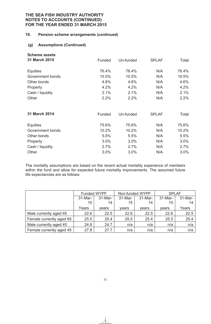# **10. Pension scheme arrangements (continued)**

# **(g) Assumptions (Continued)**

| <b>Scheme assets</b> |        |           |              |       |
|----------------------|--------|-----------|--------------|-------|
| 31 March 2015        | Funded | Un-funded | <b>SPLAF</b> | Total |
| Equities             | 76.4%  | 76.4%     | N/A          | 76.4% |
| Government bonds     | 10.5%  | 10.5%     | N/A          | 10.5% |
| Other bonds          | 4.6%   | 4.6%      | N/A          | 4.6%  |
| Property             | 4.2%   | 4.2%      | N/A          | 4.2%  |
| Cash / liquidity     | 2.1%   | 2.1%      | N/A          | 2.1%  |
| Other                | 2.2%   | 2.2%      | N/A          | 2.2%  |
| 31 March 2014        | Funded | Un-funded | <b>SPLAF</b> | Total |
| Equities             | 75.6%  | 75.6%     | N/A          | 75.6% |
| Government bonds     | 10.2%  | 10.2%     | N/A          | 10.2% |
| Other bonds          | 5.5%   | 5.5%      | N/A          | 5.5%  |
| Property             | 3.0%   | 3.0%      | N/A          | 3.0%  |
| Cash / liquidity     | 2.7%   | 2.7%      | N/A          | 2.7%  |
| Other                | 3.0%   | 3.0%      | N/A          | 3.0%  |
|                      |        |           |              |       |

The mortality assumptions are based on the recent actual mortality experience of members within the fund and allow for expected future mortality improvements. The assumed future life expectancies are as follows:

|                          | Funded WYPF |           | Non-funded WYPF |           | <b>SPLAF</b> |           |
|--------------------------|-------------|-----------|-----------------|-----------|--------------|-----------|
|                          | 31-Mar-     | $31-Mar-$ | 31-Mar-         | $31-Mar-$ | $31-Mar-$    | $31-Mar-$ |
|                          | 15          | 14        | 15              | 14        | 15           | 14        |
|                          | Years       | vears     | vears           | vears     | vears        | Years     |
| Male currently aged 65   | 22.6        | 22.5      | 22.6            | 22.5      | 22.6         | 22.5      |
| Female currently aged 65 | 25.5        | 25.4      | 25.5            | 25.4      | 25.5         | 25.4      |
| Male currently aged 45   | 24.8        | 24.7      | n/a             | n/a       | n/a          | n/a       |
| Female currently aged 45 | 27.8        | 27.7      | n/a             | n/a       | n/a          | n/a       |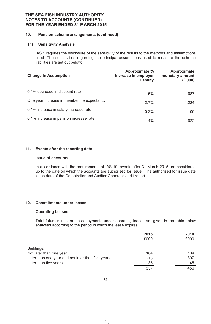# **10. Pension scheme arrangements (continued)**

#### **(h) Sensitivity Analysis**

IAS 1 requires the disclosure of the sensitivity of the results to the methods and assumptions used. The sensitivities regarding the principal assumptions used to measure the scheme liabilities are set out below:

| <b>Change in Assumption</b>                 | Approximate %<br>increase in employer<br>liability | Approximate<br>monetary amount<br>(£'000) |
|---------------------------------------------|----------------------------------------------------|-------------------------------------------|
| 0.1% decrease in discount rate              | 1.5%                                               | 687                                       |
| One year increase in member life expectancy | 2.7%                                               | 1,224                                     |
| 0.1% increase in salary increase rate       | 0.2%                                               | 100                                       |
| 0.1% increase in pension increase rate      | 1.4%                                               | 622                                       |

#### **11. Events after the reporting date**

#### **Issue of accounts**

In accordance with the requirements of IAS 10, events after 31 March 2015 are considered up to the date on which the accounts are authorised for issue. The authorised for issue date is the date of the Comptroller and Auditor General's audit report.

#### **12. Commitments under leases**

#### **Operating Leases**

Total future minimum lease payments under operating leases are given in the table below analysed according to the period in which the lease expires.

|                                                   | 2015 | 2014 |
|---------------------------------------------------|------|------|
|                                                   | £000 | £000 |
| Buildings:                                        |      |      |
| Not later than one year                           | 104  | 104  |
| Later than one year and not later than five years | 218  | 307  |
| Later than five years                             | 35   | 45   |
|                                                   | 357  | 456  |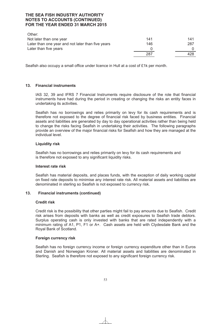| Other:                                            |     |     |
|---------------------------------------------------|-----|-----|
| Not later than one year                           | 141 | 141 |
| Later than one year and not later than five years | 146 | 287 |
| Later than five years                             |     |     |
|                                                   | 287 | 428 |

Seafish also occupy a small office under licence in Hull at a cost of £1k per month.

# **13. Financial instruments**

IAS 32, 39 and IFRS 7 Financial Instruments require disclosure of the role that financial instruments have had during the period in creating or changing the risks an entity faces in undertaking its activities.

Seafish has no borrowings and relies primarily on levy for its cash requirements and is therefore not exposed to the degree of financial risk faced by business entities. Financial assets and liabilities are generated by day to day operational activities rather than being held to change the risks facing Seafish in undertaking their activities. The following paragraphs provide an overview of the major financial risks for Seafish and how they are managed at the individual level.

# **Liquidity risk**

Seafish has no borrowings and relies primarily on levy for its cash requirements and is therefore not exposed to any significant liquidity risks.

#### **Interest rate risk**

Seafish has material deposits, and places funds, with the exception of daily working capital on fixed rate deposits to minimise any interest rate risk. All material assets and liabilities are denominated in sterling so Seafish is not exposed to currency risk.

#### **13. Financial instruments (continued)**

#### **Credit risk**

Credit risk is the possibility that other parties might fail to pay amounts due to Seafish. Credit risk arises from deposits with banks as well as credit exposures to Seafish trade debtors. Surplus operating cash is only invested with banks that are rated independently with a minimum rating of A1, P1, F1 or A+. Cash assets are held with Clydesdale Bank and the Royal Bank of Scotland.

#### **Foreign currency risk**

Seafish has no foreign currency income or foreign currency expenditure other than in Euros and Danish and Norwegian Kroner. All material assets and liabilities are denominated in Sterling. Seafish is therefore not exposed to any significant foreign currency risk.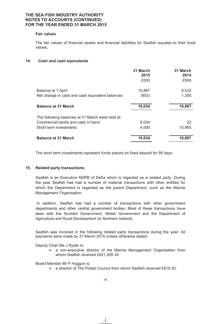# **Fair values**

The fair values of financial assets and financial liabilities for Seafish equates to their book values.

#### **14. Cash and cash equivalents**

|                                                  | 31 March<br>2015 | 31 March<br>2014 |
|--------------------------------------------------|------------------|------------------|
|                                                  | £000             | £000             |
| Balance at 1 April                               | 10,887           | 9,532            |
| Net change in cash and cash equivalent balances  | (853)            | 1,355            |
| <b>Balance at 31 March</b>                       | 10,034           | 10,887           |
| The following balances at 31 March were held at: |                  |                  |
| Commercial banks and cash in hand                | 6,034            | 22               |
| Short term investments                           | 4,000            | 10,865           |
| <b>Balance at 31 March</b>                       | 10,034           | 10,887           |

The short term investments represent funds placed on fixed deposit for 95 days.

# **15. Related party transactions**

Seafish is an Executive NDPB of Defra which is regarded as a related party. During the year Seafish has had a number of material transactions with other entities for which the Department is regarded as the parent Department, such as the Marine Management Organisation.

 In addition, Seafish has had a number of transactions with other government departments and other central government bodies. Most of these transactions have been with the Scottish Government, Welsh Government and the Department of Agriculture and Rural Development (in Northern Ireland).

Seafish was involved in the following related party transactions during the year. All payments were made by 31 March 2015 unless otherwise stated:

Deputy Chair Ms J Ryder is:

• a non-executive director of the Marine Management Organisation from whom Seafish received £621,206.34.

Board Member Mr P Huggon is:

• a director of The Potato Council from whom Seafish received £616.20.